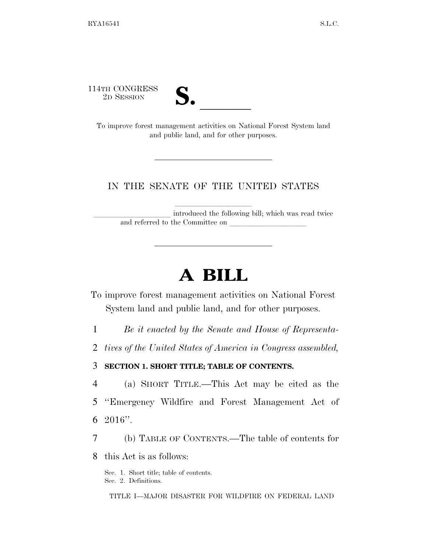114TH CONGRESS



TH CONGRESS<br>
2D SESSION<br>
To improve forest management activities on National Forest System land and public land, and for other purposes.

## IN THE SENATE OF THE UNITED STATES

introduced the following bill; which was read twice and referred to the Committee on

# **A BILL**

To improve forest management activities on National Forest System land and public land, and for other purposes.

1 *Be it enacted by the Senate and House of Representa-*

2 *tives of the United States of America in Congress assembled,* 

### 3 **SECTION 1. SHORT TITLE; TABLE OF CONTENTS.**

4 (a) SHORT TITLE.—This Act may be cited as the

5 ''Emergency Wildfire and Forest Management Act of 6 2016''.

7 (b) TABLE OF CONTENTS.—The table of contents for

8 this Act is as follows:

Sec. 1. Short title; table of contents. Sec. 2. Definitions.

TITLE I—MAJOR DISASTER FOR WILDFIRE ON FEDERAL LAND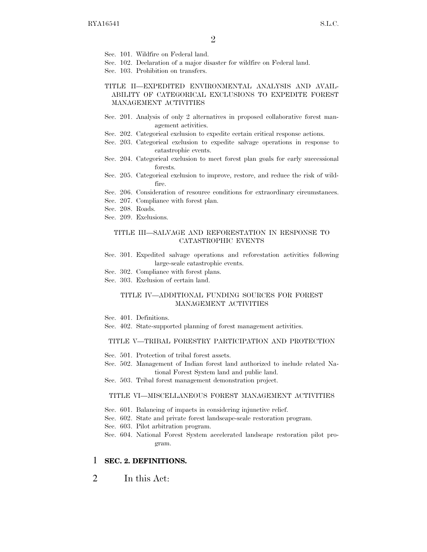- Sec. 101. Wildfire on Federal land.
- Sec. 102. Declaration of a major disaster for wildfire on Federal land.
- Sec. 103. Prohibition on transfers.

TITLE II—EXPEDITED ENVIRONMENTAL ANALYSIS AND AVAIL-ABILITY OF CATEGORICAL EXCLUSIONS TO EXPEDITE FOREST MANAGEMENT ACTIVITIES

- Sec. 201. Analysis of only 2 alternatives in proposed collaborative forest management activities.
- Sec. 202. Categorical exclusion to expedite certain critical response actions.
- Sec. 203. Categorical exclusion to expedite salvage operations in response to catastrophic events.
- Sec. 204. Categorical exclusion to meet forest plan goals for early successional forests.
- Sec. 205. Categorical exclusion to improve, restore, and reduce the risk of wildfire.
- Sec. 206. Consideration of resource conditions for extraordinary circumstances.
- Sec. 207. Compliance with forest plan.
- Sec. 208. Roads.
- Sec. 209. Exclusions.

#### TITLE III—SALVAGE AND REFORESTATION IN RESPONSE TO CATASTROPHIC EVENTS

- Sec. 301. Expedited salvage operations and reforestation activities following large-scale catastrophic events.
- Sec. 302. Compliance with forest plans.
- Sec. 303. Exclusion of certain land.

#### TITLE IV—ADDITIONAL FUNDING SOURCES FOR FOREST MANAGEMENT ACTIVITIES

- Sec. 401. Definitions.
- Sec. 402. State-supported planning of forest management activities.

#### TITLE V—TRIBAL FORESTRY PARTICIPATION AND PROTECTION

- Sec. 501. Protection of tribal forest assets.
- Sec. 502. Management of Indian forest land authorized to include related National Forest System land and public land.
- Sec. 503. Tribal forest management demonstration project.

#### TITLE VI—MISCELLANEOUS FOREST MANAGEMENT ACTIVITIES

- Sec. 601. Balancing of impacts in considering injunctive relief.
- Sec. 602. State and private forest landscape-scale restoration program.
- Sec. 603. Pilot arbitration program.
- Sec. 604. National Forest System accelerated landscape restoration pilot program.

#### 1 **SEC. 2. DEFINITIONS.**

2 In this Act: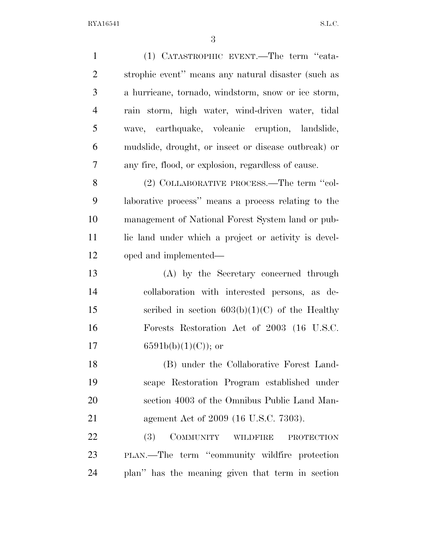| $\mathbf{1}$   | (1) CATASTROPHIC EVENT.—The term "cata-              |
|----------------|------------------------------------------------------|
| $\overline{2}$ | strophic event" means any natural disaster (such as  |
| 3              | a hurricane, tornado, windstorm, snow or ice storm,  |
| $\overline{4}$ | rain storm, high water, wind-driven water, tidal     |
| 5              | wave, earthquake, volcanic eruption, landslide,      |
| 6              | mudslide, drought, or insect or disease outbreak) or |
| 7              | any fire, flood, or explosion, regardless of cause.  |
| 8              | (2) COLLABORATIVE PROCESS.—The term "col-            |
| 9              | laborative process" means a process relating to the  |
| 10             | management of National Forest System land or pub-    |
| 11             | lic land under which a project or activity is devel- |
| 12             | oped and implemented—                                |
| 13             | (A) by the Secretary concerned through               |
| 14             | collaboration with interested persons, as de-        |
| 15             | scribed in section $603(b)(1)(C)$ of the Healthy     |
| 16             | Forests Restoration Act of 2003 (16 U.S.C.           |
| 17             | $6591b(b)(1)(C)$ ; or                                |
| 18             | (B) under the Collaborative Forest Land-             |
| 19             | scape Restoration Program established under          |
| 20             | section 4003 of the Omnibus Public Land Man-         |
| 21             | agement Act of 2009 (16 U.S.C. 7303).                |
| 22             | (3)<br>COMMUNITY WILDFIRE<br><b>PROTECTION</b>       |
| 23             | PLAN.—The term "community wildfire protection        |
| 24             | plan" has the meaning given that term in section     |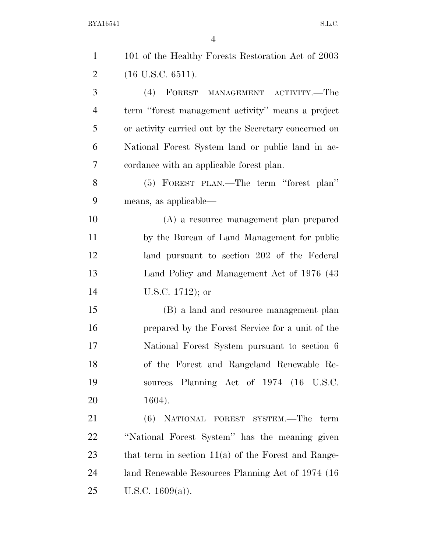| $\mathbf{1}$   | 101 of the Healthy Forests Restoration Act of 2003    |
|----------------|-------------------------------------------------------|
| $\overline{2}$ | $(16$ U.S.C. $6511)$ .                                |
| 3              | (4) FOREST MANAGEMENT ACTIVITY.—The                   |
| $\overline{4}$ | term "forest management activity" means a project     |
| 5              | or activity carried out by the Secretary concerned on |
| 6              | National Forest System land or public land in ac-     |
| 7              | cordance with an applicable forest plan.              |
| 8              | (5) FOREST PLAN.—The term "forest plan"               |
| 9              | means, as applicable—                                 |
| 10             | (A) a resource management plan prepared               |
| 11             | by the Bureau of Land Management for public           |
| 12             | land pursuant to section 202 of the Federal           |
| 13             | Land Policy and Management Act of 1976 (43)           |
| 14             | U.S.C. $1712$ ); or                                   |
| 15             | (B) a land and resource management plan               |
| 16             | prepared by the Forest Service for a unit of the      |
| 17             | National Forest System pursuant to section 6          |
| 18             | of the Forest and Rangeland Renewable Re-             |
| 19             | sources Planning Act of 1974 (16 U.S.C.               |
| 20             | $1604$ ).                                             |
| 21             | (6) NATIONAL FOREST SYSTEM.—The term                  |
| 22             | "National Forest System" has the meaning given        |
| 23             | that term in section $11(a)$ of the Forest and Range- |
| 24             | land Renewable Resources Planning Act of 1974 (16     |
| 25             | U.S.C. $1609(a)$ ).                                   |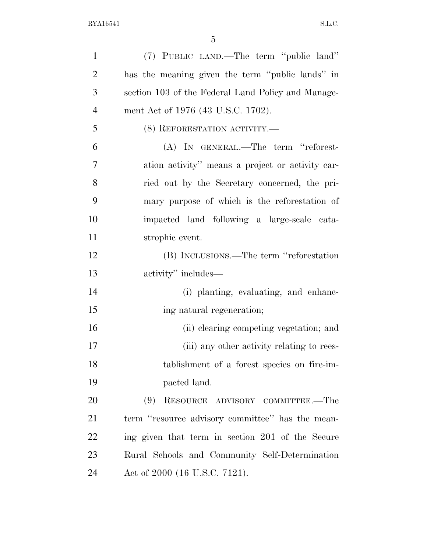| $\mathbf{1}$   | (7) PUBLIC LAND.—The term "public land"            |
|----------------|----------------------------------------------------|
| $\overline{2}$ | has the meaning given the term "public lands" in   |
| 3              | section 103 of the Federal Land Policy and Manage- |
| $\overline{4}$ | ment Act of 1976 (43 U.S.C. 1702).                 |
| 5              | (8) REFORESTATION ACTIVITY.—                       |
| 6              | (A) IN GENERAL.—The term "reforest-                |
| 7              | ation activity" means a project or activity car-   |
| 8              | ried out by the Secretary concerned, the pri-      |
| 9              | mary purpose of which is the reforestation of      |
| 10             | impacted land following a large-scale cata-        |
| 11             | strophic event.                                    |
| 12             | (B) INCLUSIONS.—The term "reforestation            |
| 13             | activity" includes—                                |
| 14             | (i) planting, evaluating, and enhanc-              |
| 15             | ing natural regeneration;                          |
| 16             | (ii) clearing competing vegetation; and            |
| 17             | (iii) any other activity relating to rees-         |
| 18             | tablishment of a forest species on fire-im-        |
| 19             | pacted land.                                       |
| 20             | RESOURCE ADVISORY COMMITTEE.—The<br>(9)            |
| 21             | term "resource advisory committee" has the mean-   |
| 22             | ing given that term in section 201 of the Secure   |
| 23             | Rural Schools and Community Self-Determination     |
| 24             | Act of 2000 (16 U.S.C. 7121).                      |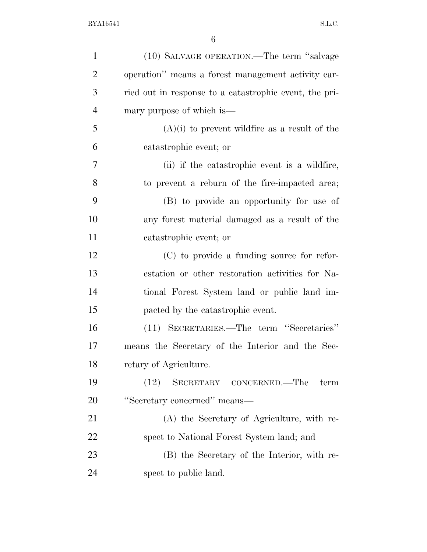| $\mathbf{1}$   | (10) SALVAGE OPERATION.—The term "salvage"             |
|----------------|--------------------------------------------------------|
| $\overline{2}$ | operation" means a forest management activity car-     |
| 3              | ried out in response to a catastrophic event, the pri- |
| $\overline{4}$ | mary purpose of which is—                              |
| 5              | $(A)(i)$ to prevent wildfire as a result of the        |
| 6              | catastrophic event; or                                 |
| 7              | (ii) if the catastrophic event is a wildfire,          |
| 8              | to prevent a reburn of the fire-impacted area;         |
| 9              | (B) to provide an opportunity for use of               |
| 10             | any forest material damaged as a result of the         |
| 11             | catastrophic event; or                                 |
| 12             | (C) to provide a funding source for refor-             |
| 13             | estation or other restoration activities for Na-       |
| 14             | tional Forest System land or public land im-           |
| 15             | pacted by the catastrophic event.                      |
| 16             | (11) SECRETARIES.—The term "Secretaries"               |
| 17             | means the Secretary of the Interior and the Sec-       |
| 18             | retary of Agriculture.                                 |
| 19             | SECRETARY CONCERNED.—The<br>(12)<br>term               |
| 20             | "Secretary concerned" means—                           |
| 21             | (A) the Secretary of Agriculture, with re-             |
| 22             | spect to National Forest System land; and              |
| 23             | (B) the Secretary of the Interior, with re-            |
| 24             | spect to public land.                                  |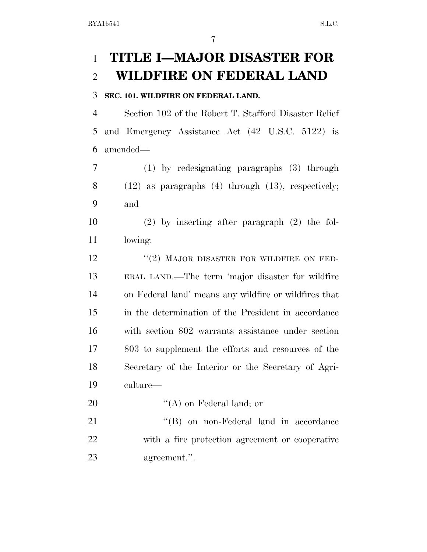# **TITLE I—MAJOR DISASTER FOR WILDFIRE ON FEDERAL LAND**

### **SEC. 101. WILDFIRE ON FEDERAL LAND.**

 Section 102 of the Robert T. Stafford Disaster Relief and Emergency Assistance Act (42 U.S.C. 5122) is amended—

 (1) by redesignating paragraphs (3) through (12) as paragraphs (4) through (13), respectively; and

 (2) by inserting after paragraph (2) the fol-lowing:

12 "(2) MAJOR DISASTER FOR WILDFIRE ON FED- ERAL LAND.—The term 'major disaster for wildfire on Federal land' means any wildfire or wildfires that in the determination of the President in accordance with section 802 warrants assistance under section 803 to supplement the efforts and resources of the Secretary of the Interior or the Secretary of Agri-culture—

20  $((A)$  on Federal land; or

21 ''(B) on non-Federal land in accordance with a fire protection agreement or cooperative agreement.''.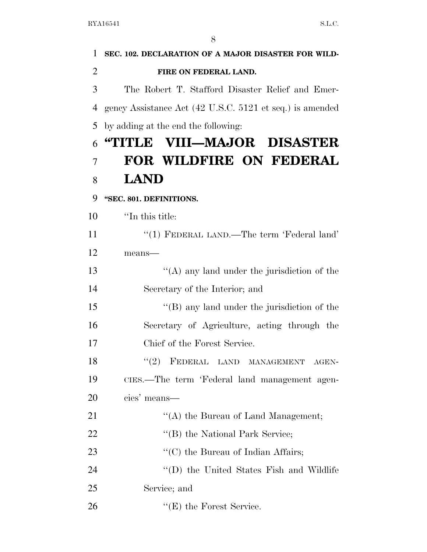| 1              | SEC. 102. DECLARATION OF A MAJOR DISASTER FOR WILD-      |
|----------------|----------------------------------------------------------|
| $\overline{2}$ | FIRE ON FEDERAL LAND.                                    |
| 3              | The Robert T. Stafford Disaster Relief and Emer-         |
| 4              | gency Assistance Act (42 U.S.C. 5121 et seq.) is amended |
| 5              | by adding at the end the following:                      |
| 6              | "TITLE VIII—MAJOR DISASTER                               |
| 7              | FOR WILDFIRE ON FEDERAL                                  |
| 8              | <b>LAND</b>                                              |
| 9              | "SEC. 801. DEFINITIONS.                                  |
| 10             | "In this title:                                          |
| 11             | "(1) FEDERAL LAND.—The term 'Federal land'               |
| 12             | means-                                                   |
| 13             | "(A) any land under the jurisdiction of the              |
| 14             | Secretary of the Interior; and                           |
| 15             | "(B) any land under the jurisdiction of the              |
| 16             | Secretary of Agriculture, acting through the             |
| 17             | Chief of the Forest Service.                             |
| 18             | "(2) FEDERAL LAND MANAGEMENT AGEN-                       |
| 19             | CIES.—The term 'Federal land management agen-            |
| 20             | cies' means—                                             |
| 21             | "(A) the Bureau of Land Management;                      |
| 22             | "(B) the National Park Service;                          |
| 23             | $\lq\lq$ (C) the Bureau of Indian Affairs;               |
| 24             | "(D) the United States Fish and Wildlife                 |
| 25             | Service; and                                             |
| 26             | $f'(E)$ the Forest Service.                              |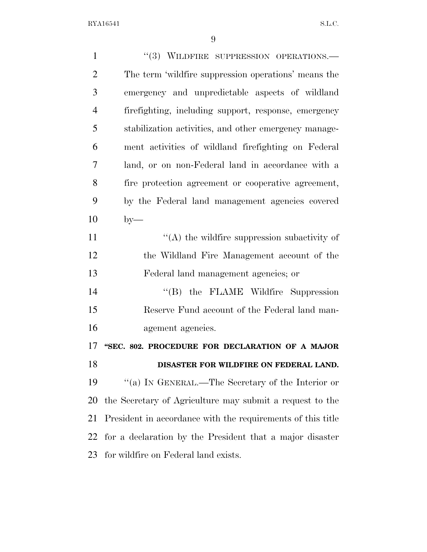| $\mathbf{1}$   | "(3) WILDFIRE SUPPRESSION OPERATIONS.-                      |
|----------------|-------------------------------------------------------------|
| $\overline{2}$ | The term 'wildfire suppression operations' means the        |
| 3              | emergency and unpredictable aspects of wildland             |
| $\overline{4}$ | firefighting, including support, response, emergency        |
| 5              | stabilization activities, and other emergency manage-       |
| 6              | ment activities of wildland firefighting on Federal         |
| 7              | land, or on non-Federal land in accordance with a           |
| 8              | fire protection agreement or cooperative agreement,         |
| 9              | by the Federal land management agencies covered             |
| 10             | $by-$                                                       |
| 11             | $\lq\lq$ the wildfire suppression subactivity of            |
| 12             | the Wildland Fire Management account of the                 |
| 13             | Federal land management agencies; or                        |
| 14             | "(B) the FLAME Wildfire Suppression                         |
| 15             | Reserve Fund account of the Federal land man-               |
| 16             | agement agencies.                                           |
| 17             | "SEC. 802. PROCEDURE FOR DECLARATION OF A MAJOR             |
| 18             | DISASTER FOR WILDFIRE ON FEDERAL LAND.                      |
| 19             | "(a) IN GENERAL.—The Secretary of the Interior or           |
| 20             | the Secretary of Agriculture may submit a request to the    |
| 21             | President in accordance with the requirements of this title |
| 22             | for a declaration by the President that a major disaster    |
| 23             | for wildfire on Federal land exists.                        |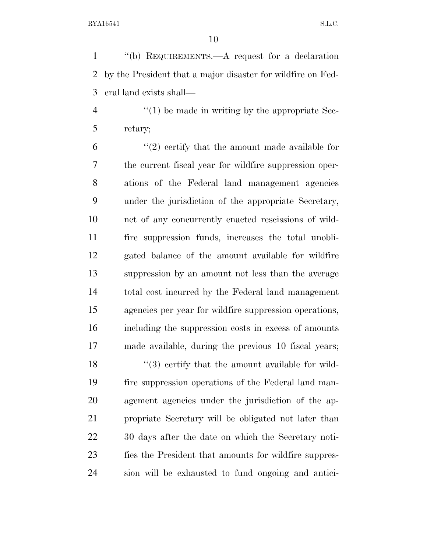''(b) REQUIREMENTS.—A request for a declaration by the President that a major disaster for wildfire on Fed-eral land exists shall—

 $\frac{4}{1}$  (1) be made in writing by the appropriate Sec-retary;

 $(2)$  certify that the amount made available for the current fiscal year for wildfire suppression oper- ations of the Federal land management agencies under the jurisdiction of the appropriate Secretary, net of any concurrently enacted rescissions of wild- fire suppression funds, increases the total unobli- gated balance of the amount available for wildfire suppression by an amount not less than the average total cost incurred by the Federal land management agencies per year for wildfire suppression operations, including the suppression costs in excess of amounts made available, during the previous 10 fiscal years;  $\frac{1}{3}$  certify that the amount available for wild- fire suppression operations of the Federal land man- agement agencies under the jurisdiction of the ap- propriate Secretary will be obligated not later than 30 days after the date on which the Secretary noti- fies the President that amounts for wildfire suppres-sion will be exhausted to fund ongoing and antici-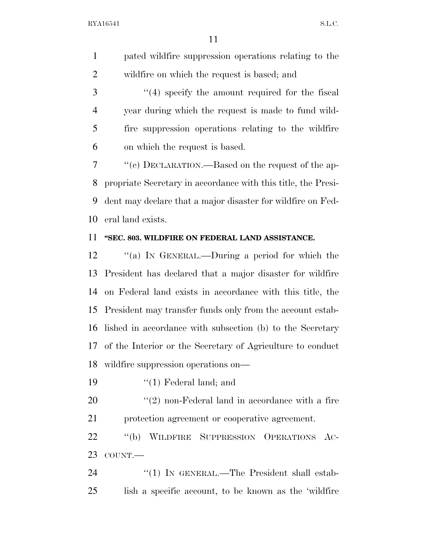pated wildfire suppression operations relating to the wildfire on which the request is based; and

3 "(4) specify the amount required for the fiscal year during which the request is made to fund wild- fire suppression operations relating to the wildfire on which the request is based.

 ''(c) DECLARATION.—Based on the request of the ap- propriate Secretary in accordance with this title, the Presi- dent may declare that a major disaster for wildfire on Fed-eral land exists.

### **''SEC. 803. WILDFIRE ON FEDERAL LAND ASSISTANCE.**

 ''(a) IN GENERAL.—During a period for which the President has declared that a major disaster for wildfire on Federal land exists in accordance with this title, the President may transfer funds only from the account estab- lished in accordance with subsection (b) to the Secretary of the Interior or the Secretary of Agriculture to conduct wildfire suppression operations on—

19 ''(1) Federal land; and

 ''(2) non-Federal land in accordance with a fire protection agreement or cooperative agreement.

 ''(b) WILDFIRE SUPPRESSION OPERATIONS AC-COUNT.—

24 "(1) IN GENERAL.—The President shall estab-lish a specific account, to be known as the 'wildfire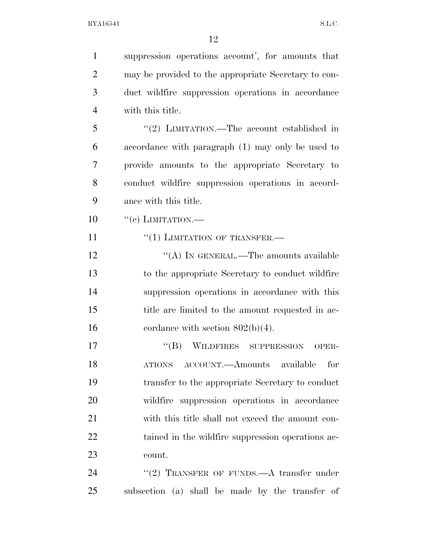| $\mathbf{1}$   | suppression operations account', for amounts that    |
|----------------|------------------------------------------------------|
| $\overline{2}$ | may be provided to the appropriate Secretary to con- |
| 3              | duct wildfire suppression operations in accordance   |
| $\overline{4}$ | with this title.                                     |
| 5              | "(2) LIMITATION.—The account established in          |
| 6              | accordance with paragraph (1) may only be used to    |
| 7              | provide amounts to the appropriate Secretary to      |
| 8              | conduct wildfire suppression operations in accord-   |
| 9              | ance with this title.                                |
| 10             | $``(e)$ LIMITATION.—                                 |
| 11             | $``(1)$ LIMITATION OF TRANSFER.—                     |
| 12             | "(A) IN GENERAL.—The amounts available               |
| 13             | to the appropriate Secretary to conduct wildfire     |
| 14             | suppression operations in accordance with this       |
| 15             | title are limited to the amount requested in ac-     |
| 16             | cordance with section $802(b)(4)$ .                  |
| 17             | WILDFIRES SUPPRESSION<br>$\lq\lq (B)$<br>OPER-       |
| 18             | ATIONS ACCOUNT.—Amounts available<br>for             |
| 19             | transfer to the appropriate Secretary to conduct     |
| 20             | wildfire suppression operations in accordance        |
| 21             | with this title shall not exceed the amount con-     |
| 22             | tained in the wildfire suppression operations ac-    |
| 23             | count.                                               |
| 24             | "(2) TRANSFER OF FUNDS.—A transfer under             |
| 25             | subsection (a) shall be made by the transfer of      |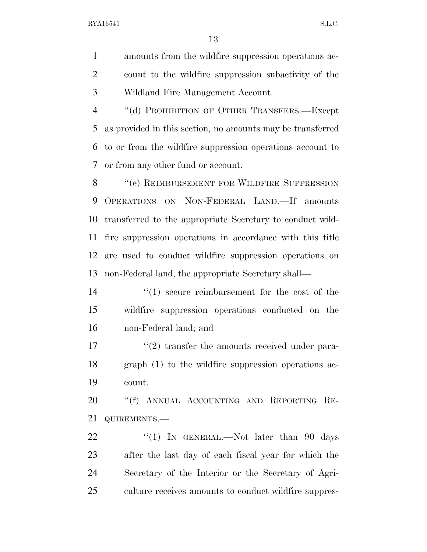amounts from the wildfire suppression operations ac- count to the wildfire suppression subactivity of the Wildland Fire Management Account.

4 "(d) PROHIBITION OF OTHER TRANSFERS.—Except as provided in this section, no amounts may be transferred to or from the wildfire suppression operations account to or from any other fund or account.

8 "(e) REIMBURSEMENT FOR WILDFIRE SUPPRESSION OPERATIONS ON NON-FEDERAL LAND.—If amounts transferred to the appropriate Secretary to conduct wild- fire suppression operations in accordance with this title are used to conduct wildfire suppression operations on non-Federal land, the appropriate Secretary shall—

14  $\frac{1}{2}$  (1) secure reimbursement for the cost of the wildfire suppression operations conducted on the non-Federal land; and

17 ''(2) transfer the amounts received under para- graph (1) to the wildfire suppression operations ac-count.

 ''(f) ANNUAL ACCOUNTING AND REPORTING RE-QUIREMENTS.—

22 "(1) IN GENERAL.—Not later than 90 days after the last day of each fiscal year for which the Secretary of the Interior or the Secretary of Agri-culture receives amounts to conduct wildfire suppres-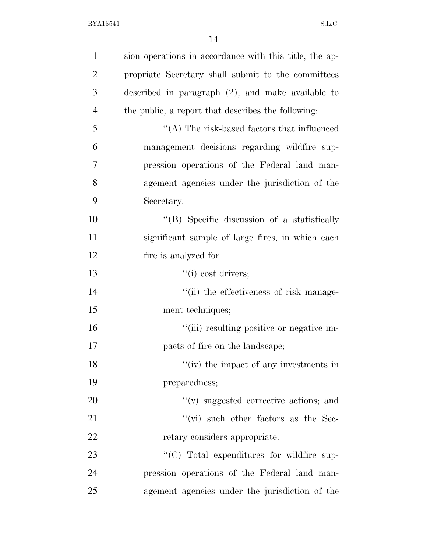| $\mathbf{1}$   | sion operations in accordance with this title, the ap- |
|----------------|--------------------------------------------------------|
| $\overline{2}$ | propriate Secretary shall submit to the committees     |
| 3              | described in paragraph $(2)$ , and make available to   |
| $\overline{4}$ | the public, a report that describes the following:     |
| 5              | $\lq\lq$ . The risk-based factors that influenced      |
| 6              | management decisions regarding wildfire sup-           |
| 7              | pression operations of the Federal land man-           |
| 8              | agement agencies under the jurisdiction of the         |
| 9              | Secretary.                                             |
| 10             | "(B) Specific discussion of a statistically            |
| 11             | significant sample of large fires, in which each       |
| 12             | fire is analyzed for—                                  |
| 13             | ``(i) cost drivers;                                    |
| 14             | "(ii) the effectiveness of risk manage-                |
| 15             | ment techniques;                                       |
| 16             | "(iii) resulting positive or negative im-              |
| 17             | pacts of fire on the landscape;                        |
| 18             | "(iv) the impact of any investments in                 |
| 19             | preparedness;                                          |
| 20             | "(v) suggested corrective actions; and                 |
| 21             | $\lq\lq$ such other factors as the Sec-                |
| 22             | retary considers appropriate.                          |
| 23             | "(C) Total expenditures for wildfire sup-              |
| 24             | pression operations of the Federal land man-           |
| 25             | agement agencies under the jurisdiction of the         |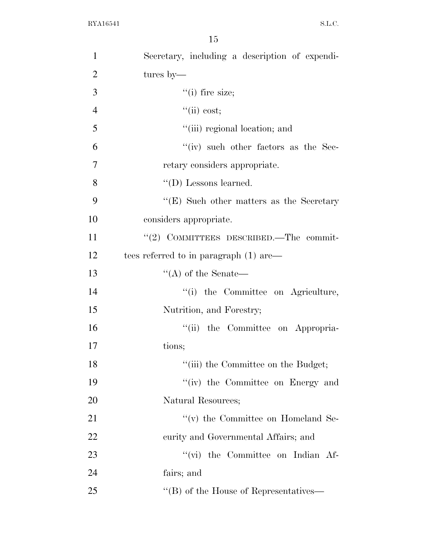| $\mathbf{1}$   | Secretary, including a description of expendi-  |
|----------------|-------------------------------------------------|
| $\overline{2}$ | tures by—                                       |
| 3              | $``(i)$ fire size;                              |
| $\overline{4}$ | ``(ii) cost;                                    |
| 5              | "(iii) regional location; and                   |
| 6              | $``(iv)$ such other factors as the Sec-         |
| $\overline{7}$ | retary considers appropriate.                   |
| 8              | $\lq\lq$ (D) Lessons learned.                   |
| 9              | $\lq\lq(E)$ Such other matters as the Secretary |
| 10             | considers appropriate.                          |
| 11             | $"(2)$ COMMITTEES DESCRIBED.—The commit-        |
| 12             | tees referred to in paragraph $(1)$ are         |
| 13             | $\lq\lq$ of the Senate—                         |
| 14             | "(i) the Committee on Agriculture,              |
| 15             | Nutrition, and Forestry;                        |
| 16             | "(ii) the Committee on Appropria-               |
| 17             | tions;                                          |
| 18             | "(iii) the Committee on the Budget;             |
| 19             | "(iv) the Committee on Energy and               |
| 20             | Natural Resources;                              |
| 21             | $f'(v)$ the Committee on Homeland Se-           |
| 22             | curity and Governmental Affairs; and            |
| 23             | "(vi) the Committee on Indian Af-               |
| 24             | fairs; and                                      |
| 25             | "(B) of the House of Representatives—           |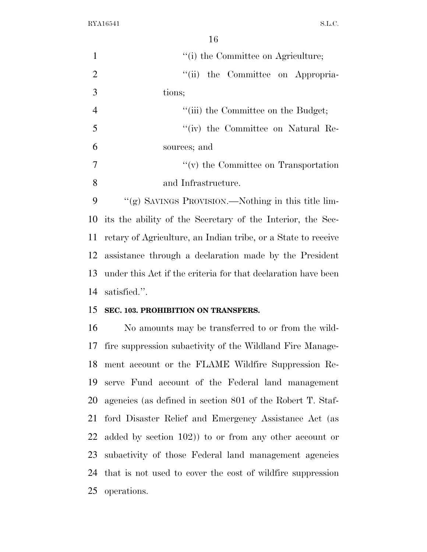operations.

 $\overline{16}$ 

|                | 16                                                            |
|----------------|---------------------------------------------------------------|
| $\mathbf{1}$   | "(i) the Committee on Agriculture;                            |
| $\overline{2}$ | "(ii) the Committee on Appropria-                             |
| 3              | tions;                                                        |
| $\overline{4}$ | "(iii) the Committee on the Budget;                           |
| 5              | "(iv) the Committee on Natural Re-                            |
| 6              | sources; and                                                  |
| 7              | $\lq\lq$ (v) the Committee on Transportation                  |
| 8              | and Infrastructure.                                           |
| 9              | "(g) SAVINGS PROVISION.—Nothing in this title lim-            |
| 10             | its the ability of the Secretary of the Interior, the Sec-    |
| 11             | retary of Agriculture, an Indian tribe, or a State to receive |
| 12             | assistance through a declaration made by the President        |
| 13             | under this Act if the criteria for that declaration have been |
| 14             | satisfied.".                                                  |
| 15             | SEC. 103. PROHIBITION ON TRANSFERS.                           |
| 16             | No amounts may be transferred to or from the wild-            |
| 17             | fire suppression subactivity of the Wildland Fire Manage-     |
| 18             | ment account or the FLAME Wildfire Suppression Re-            |
| 19             | serve Fund account of the Federal land management             |
| 20             | agencies (as defined in section 801 of the Robert T. Staf-    |
| 21             | ford Disaster Relief and Emergency Assistance Act (as         |
| 22             | added by section $102$ ) to or from any other account or      |
| 23             | subactivity of those Federal land management agencies         |
| 24             | that is not used to cover the cost of wildfire suppression    |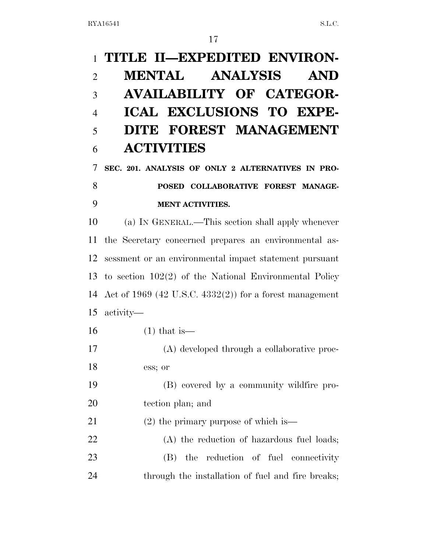# **TITLE II—EXPEDITED ENVIRON- MENTAL ANALYSIS AND AVAILABILITY OF CATEGOR- ICAL EXCLUSIONS TO EXPE- DITE FOREST MANAGEMENT ACTIVITIES SEC. 201. ANALYSIS OF ONLY 2 ALTERNATIVES IN PRO- POSED COLLABORATIVE FOREST MANAGE- MENT ACTIVITIES.**  (a) IN GENERAL.—This section shall apply whenever the Secretary concerned prepares an environmental as- sessment or an environmental impact statement pursuant to section 102(2) of the National Environmental Policy Act of 1969 (42 U.S.C. 4332(2)) for a forest management activity— (1) that is— (A) developed through a collaborative proc- ess; or (B) covered by a community wildfire pro- tection plan; and (2) the primary purpose of which is— (A) the reduction of hazardous fuel loads; (B) the reduction of fuel connectivity

24 through the installation of fuel and fire breaks;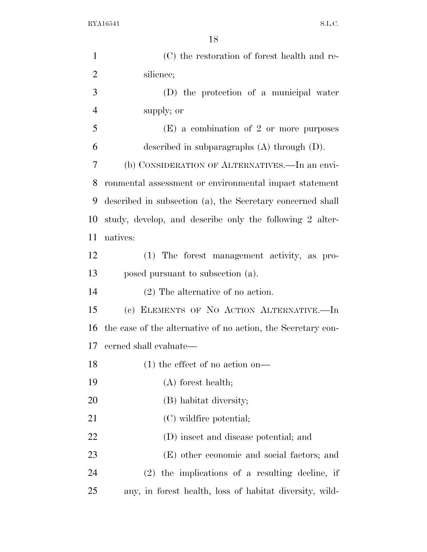| $\mathbf{1}$   | (C) the restoration of forest health and re-                 |
|----------------|--------------------------------------------------------------|
| $\overline{2}$ | silience;                                                    |
| 3              | (D) the protection of a municipal water                      |
| $\overline{4}$ | supply; or                                                   |
| 5              | $(E)$ a combination of 2 or more purposes                    |
| 6              | described in subparagraphs $(A)$ through $(D)$ .             |
| $\tau$         | (b) CONSIDERATION OF ALTERNATIVES.—In an envi-               |
| 8              | ronmental assessment or environmental impact statement       |
| 9              | described in subsection (a), the Secretary concerned shall   |
| 10             | study, develop, and describe only the following 2 alter-     |
| 11             | natives:                                                     |
| 12             | (1) The forest management activity, as pro-                  |
| 13             | posed pursuant to subsection (a).                            |
| 14             | $(2)$ The alternative of no action.                          |
| 15             | (c) ELEMENTS OF NO ACTION ALTERNATIVE.-In                    |
| 16             | the case of the alternative of no action, the Secretary con- |
| 17             | cerned shall evaluate—                                       |
| 18             | $(1)$ the effect of no action on—                            |
| 19             | (A) forest health;                                           |
| 20             | (B) habitat diversity;                                       |
| 21             | (C) wildfire potential;                                      |
| 22             | (D) insect and disease potential; and                        |
| 23             | (E) other economic and social factors; and                   |
| 24             | $(2)$ the implications of a resulting decline, if            |
| 25             | any, in forest health, loss of habitat diversity, wild-      |
|                |                                                              |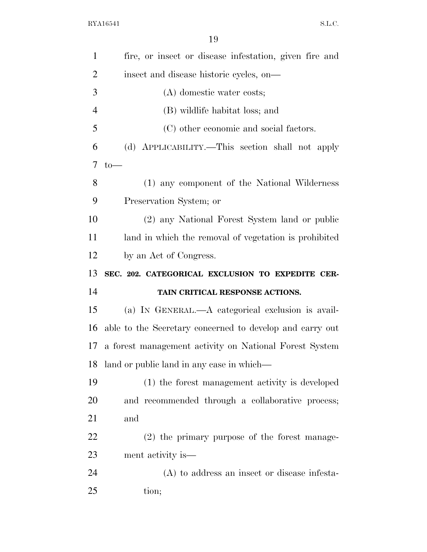| $\mathbf{1}$         | fire, or insect or disease infestation, given fire and   |
|----------------------|----------------------------------------------------------|
| $\overline{2}$       | insect and disease historic cycles, on—                  |
| 3                    | (A) domestic water costs;                                |
| $\overline{4}$       | (B) wildlife habitat loss; and                           |
| 5                    | (C) other economic and social factors.                   |
| 6                    | (d) APPLICABILITY.—This section shall not apply          |
| 7                    | $to-$                                                    |
| 8                    | (1) any component of the National Wilderness             |
| 9                    | Preservation System; or                                  |
| 10                   | (2) any National Forest System land or public            |
| 11                   | land in which the removal of vegetation is prohibited    |
| 12                   | by an Act of Congress.                                   |
|                      |                                                          |
|                      | SEC. 202. CATEGORICAL EXCLUSION TO EXPEDITE CER-         |
| 14                   | TAIN CRITICAL RESPONSE ACTIONS.                          |
|                      | (a) IN GENERAL.—A categorical exclusion is avail-        |
| 13<br>15<br>16       | able to the Secretary concerned to develop and carry out |
|                      | a forest management activity on National Forest System   |
|                      | land or public land in any case in which—                |
|                      | (1) the forest management activity is developed          |
| 17<br>18<br>19<br>20 | and recommended through a collaborative process;         |
| 21                   | and                                                      |
| 22                   | $(2)$ the primary purpose of the forest manage-          |
| 23                   | ment activity is—                                        |
| 24                   | (A) to address an insect or disease infesta-             |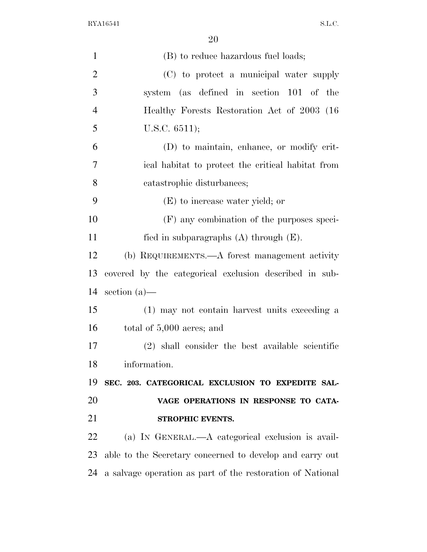| $\mathbf{1}$   | (B) to reduce hazardous fuel loads;                      |
|----------------|----------------------------------------------------------|
| $\overline{2}$ | (C) to protect a municipal water supply                  |
| 3              | system (as defined in section 101 of the                 |
| $\overline{4}$ | Healthy Forests Restoration Act of 2003 (16)             |
| 5              | U.S.C. $6511$ ;                                          |
| 6              | (D) to maintain, enhance, or modify crit-                |
| 7              | ical habitat to protect the critical habitat from        |
| 8              | catastrophic disturbances;                               |
| 9              | (E) to increase water yield; or                          |
| 10             | (F) any combination of the purposes speci-               |
| 11             | fied in subparagraphs $(A)$ through $(E)$ .              |
| 12             | (b) REQUIREMENTS.—A forest management activity           |
| 13             | covered by the categorical exclusion described in sub-   |
| 14             | section $(a)$ —                                          |
| 15             | (1) may not contain harvest units exceeding a            |
| 16             | total of $5,000$ acres; and                              |
| 17             | (2) shall consider the best available scientific         |
| 18             | information.                                             |
| 19             | SEC. 203. CATEGORICAL EXCLUSION TO EXPEDITE SAL-         |
| 20             | VAGE OPERATIONS IN RESPONSE TO CATA-                     |
| 21             | STROPHIC EVENTS.                                         |
| 22             | (a) IN GENERAL.—A categorical exclusion is avail-        |
| 23             | able to the Secretary concerned to develop and carry out |
| 24             |                                                          |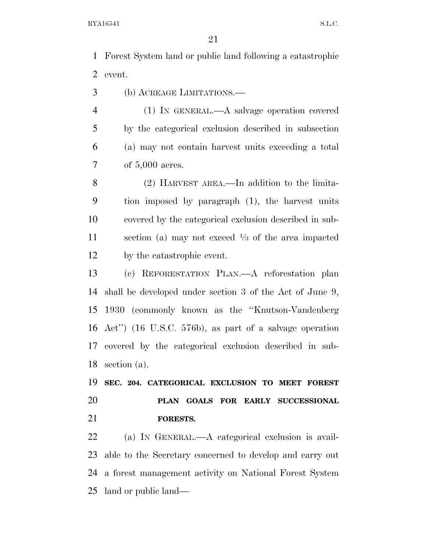Forest System land or public land following a catastrophic event.

(b) ACREAGE LIMITATIONS.—

 (1) IN GENERAL.—A salvage operation covered by the categorical exclusion described in subsection (a) may not contain harvest units exceeding a total of 5,000 acres.

 (2) HARVEST AREA.—In addition to the limita- tion imposed by paragraph (1), the harvest units covered by the categorical exclusion described in sub-11 section (a) may not exceed  $\frac{1}{3}$  of the area impacted by the catastrophic event.

 (c) REFORESTATION PLAN.—A reforestation plan shall be developed under section 3 of the Act of June 9, 1930 (commonly known as the ''Knutson-Vandenberg Act'') (16 U.S.C. 576b), as part of a salvage operation covered by the categorical exclusion described in sub-section (a).

 **SEC. 204. CATEGORICAL EXCLUSION TO MEET FOREST PLAN GOALS FOR EARLY SUCCESSIONAL FORESTS.** 

 (a) IN GENERAL.—A categorical exclusion is avail- able to the Secretary concerned to develop and carry out a forest management activity on National Forest System land or public land—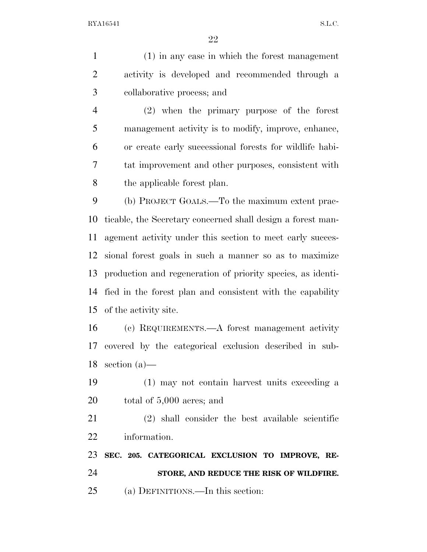(1) in any case in which the forest management activity is developed and recommended through a collaborative process; and (2) when the primary purpose of the forest management activity is to modify, improve, enhance,

 or create early successional forests for wildlife habi- tat improvement and other purposes, consistent with the applicable forest plan.

 (b) PROJECT GOALS.—To the maximum extent prac- ticable, the Secretary concerned shall design a forest man- agement activity under this section to meet early succes- sional forest goals in such a manner so as to maximize production and regeneration of priority species, as identi- fied in the forest plan and consistent with the capability of the activity site.

 (c) REQUIREMENTS.—A forest management activity covered by the categorical exclusion described in sub-section (a)—

 (1) may not contain harvest units exceeding a total of 5,000 acres; and

 (2) shall consider the best available scientific information.

 **SEC. 205. CATEGORICAL EXCLUSION TO IMPROVE, RE- STORE, AND REDUCE THE RISK OF WILDFIRE.**  (a) DEFINITIONS.—In this section: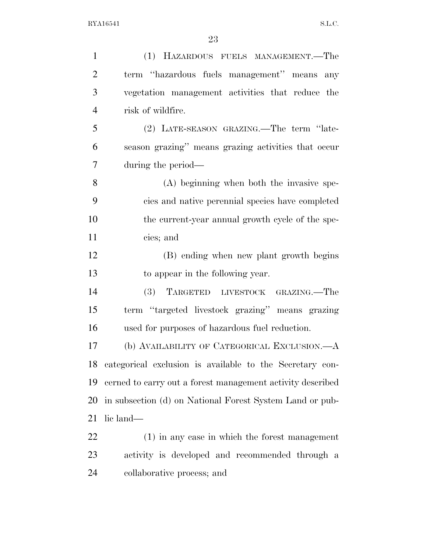| $\mathbf{1}$   | (1) HAZARDOUS FUELS MANAGEMENT.—The                        |
|----------------|------------------------------------------------------------|
| $\overline{2}$ | term "hazardous fuels management" means any                |
| 3              | vegetation management activities that reduce the           |
| $\overline{4}$ | risk of wildfire.                                          |
| 5              | (2) LATE-SEASON GRAZING.—The term "late-                   |
| 6              | season grazing" means grazing activities that occur        |
| 7              | during the period—                                         |
| 8              | (A) beginning when both the invasive spe-                  |
| 9              | cies and native perennial species have completed           |
| 10             | the current-year annual growth cycle of the spe-           |
| 11             | cies; and                                                  |
| 12             | (B) ending when new plant growth begins                    |
| 13             | to appear in the following year.                           |
| 14             | TARGETED LIVESTOCK GRAZING.—The<br>(3)                     |
| 15             | term "targeted livestock grazing" means grazing            |
| 16             | used for purposes of hazardous fuel reduction.             |
| 17             | (b) AVAILABILITY OF CATEGORICAL EXCLUSION.—A               |
| 18             | categorical exclusion is available to the Secretary con-   |
| 19             | cerned to carry out a forest management activity described |
| 20             | in subsection (d) on National Forest System Land or pub-   |
| 21             | lic land—                                                  |
| 22             | (1) in any case in which the forest management             |
| 23             | activity is developed and recommended through a            |
| 24             | collaborative process; and                                 |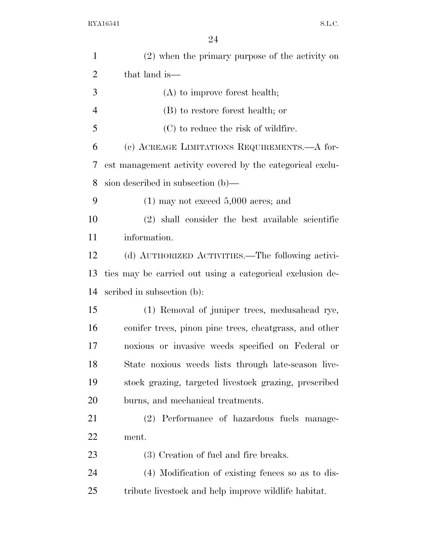| $\mathbf{1}$   | (2) when the primary purpose of the activity on           |
|----------------|-----------------------------------------------------------|
| $\overline{2}$ | that land is—                                             |
| 3              | $(A)$ to improve forest health;                           |
| $\overline{4}$ | (B) to restore forest health; or                          |
| 5              | $(C)$ to reduce the risk of wildfire.                     |
| 6              | (c) ACREAGE LIMITATIONS REQUIREMENTS.—A for-              |
| 7              | est management activity covered by the categorical exclu- |
| 8              | sion described in subsection $(b)$ —                      |
| 9              | $(1)$ may not exceed 5,000 acres; and                     |
| 10             | (2) shall consider the best available scientific          |
| 11             | information.                                              |
| 12             | (d) AUTHORIZED ACTIVITIES.—The following activi-          |
| 13             | ties may be carried out using a categorical exclusion de- |
| 14             | scribed in subsection (b):                                |
| 15             | (1) Removal of juniper trees, medusahead rye,             |
| 16             | conifer trees, pinon pine trees, cheatgrass, and other    |
| 17             | noxious or invasive weeds specified on Federal or         |
| 18             | State noxious weeds lists through late-season live-       |
| 19             | stock grazing, targeted livestock grazing, prescribed     |
| 20             | burns, and mechanical treatments.                         |
| 21             | (2) Performance of hazardous fuels manage-                |
| 22             | ment.                                                     |
| 23             | (3) Creation of fuel and fire breaks.                     |
| 24             | (4) Modification of existing fences so as to dis-         |
| 25             | tribute livestock and help improve wildlife habitat.      |
|                |                                                           |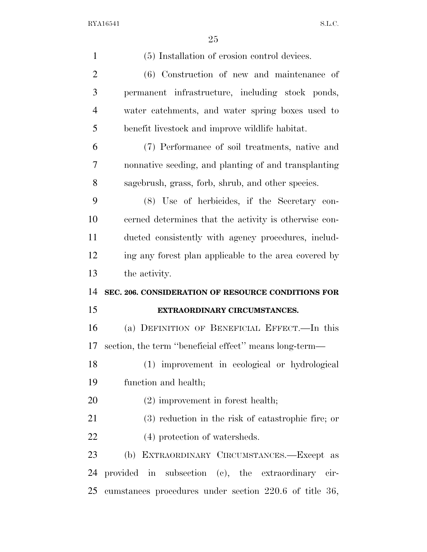| $\mathbf{1}$   | (5) Installation of erosion control devices.           |
|----------------|--------------------------------------------------------|
| $\overline{c}$ | (6) Construction of new and maintenance of             |
| 3              | permanent infrastructure, including stock ponds,       |
| $\overline{4}$ | water catchments, and water spring boxes used to       |
| 5              | benefit livestock and improve wildlife habitat.        |
| 6              | (7) Performance of soil treatments, native and         |
| $\overline{7}$ | nonnative seeding, and planting of and transplanting   |
| 8              | sagebrush, grass, forb, shrub, and other species.      |
| 9              | (8) Use of herbicides, if the Secretary con-           |
| 10             | cerned determines that the activity is otherwise con-  |
| 11             | ducted consistently with agency procedures, includ-    |
| 12             | ing any forest plan applicable to the area covered by  |
| 13             | the activity.                                          |
|                |                                                        |
| 14             | SEC. 206. CONSIDERATION OF RESOURCE CONDITIONS FOR     |
| 15             | EXTRAORDINARY CIRCUMSTANCES.                           |
| 16             | (a) DEFINITION OF BENEFICIAL EFFECT.—In this           |
| 17             | section, the term "beneficial effect" means long-term— |
| 18             | (1) improvement in ecological or hydrological          |
| 19             | function and health;                                   |
| 20             | $(2)$ improvement in forest health;                    |
| 21             | $(3)$ reduction in the risk of catastrophic fire; or   |
| 22             | (4) protection of watersheds.                          |
| 23             | (b) EXTRAORDINARY CIRCUMSTANCES.—Except as             |
| 24             | provided in subsection (c), the extraordinary cir-     |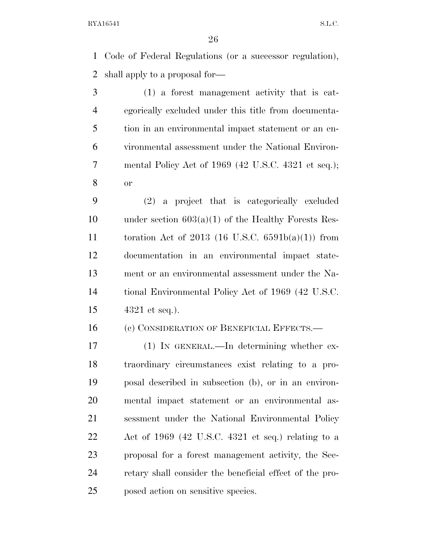Code of Federal Regulations (or a successor regulation), shall apply to a proposal for—

 (1) a forest management activity that is cat- egorically excluded under this title from documenta- tion in an environmental impact statement or an en- vironmental assessment under the National Environ- mental Policy Act of 1969 (42 U.S.C. 4321 et seq.); or

 (2) a project that is categorically excluded 10 under section  $603(a)(1)$  of the Healthy Forests Res- toration Act of 2013 (16 U.S.C. 6591b(a)(1)) from documentation in an environmental impact state- ment or an environmental assessment under the Na- tional Environmental Policy Act of 1969 (42 U.S.C. 4321 et seq.).

(c) CONSIDERATION OF BENEFICIAL EFFECTS.—

 (1) IN GENERAL.—In determining whether ex- traordinary circumstances exist relating to a pro- posal described in subsection (b), or in an environ- mental impact statement or an environmental as- sessment under the National Environmental Policy Act of 1969 (42 U.S.C. 4321 et seq.) relating to a proposal for a forest management activity, the Sec- retary shall consider the beneficial effect of the pro-posed action on sensitive species.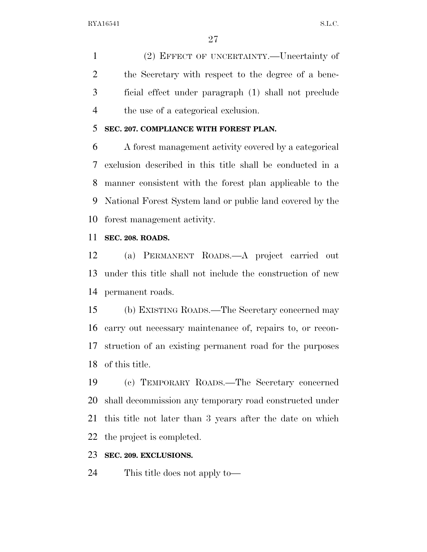(2) EFFECT OF UNCERTAINTY.—Uncertainty of the Secretary with respect to the degree of a bene- ficial effect under paragraph (1) shall not preclude the use of a categorical exclusion.

### **SEC. 207. COMPLIANCE WITH FOREST PLAN.**

 A forest management activity covered by a categorical exclusion described in this title shall be conducted in a manner consistent with the forest plan applicable to the National Forest System land or public land covered by the forest management activity.

#### **SEC. 208. ROADS.**

 (a) PERMANENT ROADS.—A project carried out under this title shall not include the construction of new permanent roads.

 (b) EXISTING ROADS.—The Secretary concerned may carry out necessary maintenance of, repairs to, or recon- struction of an existing permanent road for the purposes of this title.

 (c) TEMPORARY ROADS.—The Secretary concerned shall decommission any temporary road constructed under this title not later than 3 years after the date on which the project is completed.

#### **SEC. 209. EXCLUSIONS.**

This title does not apply to—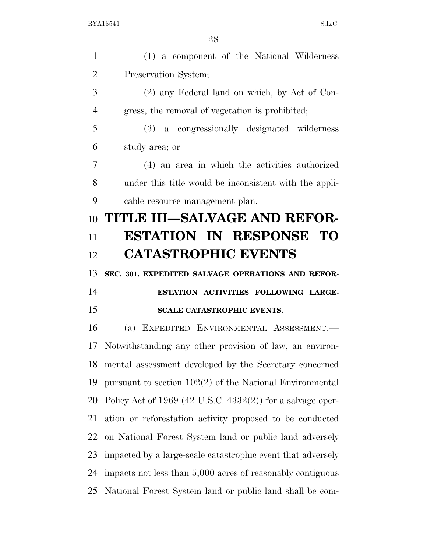(1) a component of the National Wilderness Preservation System; (2) any Federal land on which, by Act of Con- gress, the removal of vegetation is prohibited; (3) a congressionally designated wilderness study area; or (4) an area in which the activities authorized under this title would be inconsistent with the appli- cable resource management plan. **TITLE III—SALVAGE AND REFOR- ESTATION IN RESPONSE TO CATASTROPHIC EVENTS SEC. 301. EXPEDITED SALVAGE OPERATIONS AND REFOR- ESTATION ACTIVITIES FOLLOWING LARGE- SCALE CATASTROPHIC EVENTS.**  (a) EXPEDITED ENVIRONMENTAL ASSESSMENT.— Notwithstanding any other provision of law, an environ- mental assessment developed by the Secretary concerned pursuant to section 102(2) of the National Environmental Policy Act of 1969 (42 U.S.C. 4332(2)) for a salvage oper- ation or reforestation activity proposed to be conducted on National Forest System land or public land adversely impacted by a large-scale catastrophic event that adversely impacts not less than 5,000 acres of reasonably contiguous National Forest System land or public land shall be com-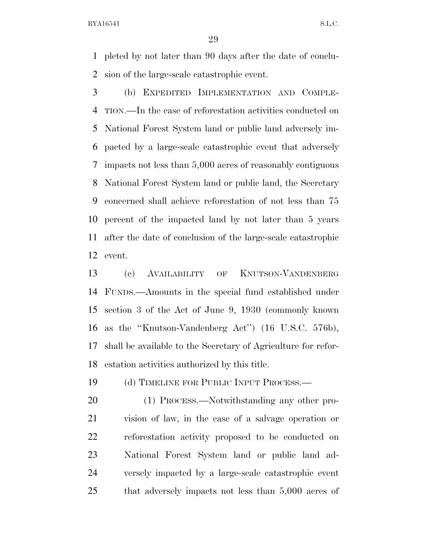pleted by not later than 90 days after the date of conclu-sion of the large-scale catastrophic event.

 (b) EXPEDITED IMPLEMENTATION AND COMPLE- TION.—In the case of reforestation activities conducted on National Forest System land or public land adversely im- pacted by a large-scale catastrophic event that adversely impacts not less than 5,000 acres of reasonably contiguous National Forest System land or public land, the Secretary concerned shall achieve reforestation of not less than 75 percent of the impacted land by not later than 5 years after the date of conclusion of the large-scale catastrophic event.

 (c) AVAILABILITY OF KNUTSON-VANDENBERG FUNDS.—Amounts in the special fund established under section 3 of the Act of June 9, 1930 (commonly known as the ''Knutson-Vandenberg Act'') (16 U.S.C. 576b), shall be available to the Secretary of Agriculture for refor-estation activities authorized by this title.

19 (d) TIMELINE FOR PUBLIC INPUT PROCESS.—

20 (1) PROCESS.—Notwithstanding any other pro- vision of law, in the case of a salvage operation or reforestation activity proposed to be conducted on National Forest System land or public land ad- versely impacted by a large-scale catastrophic event that adversely impacts not less than 5,000 acres of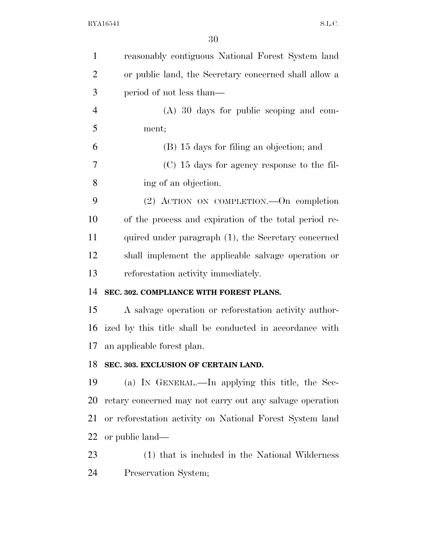| $\mathbf{1}$   | reasonably contiguous National Forest System land        |
|----------------|----------------------------------------------------------|
| $\overline{2}$ | or public land, the Secretary concerned shall allow a    |
| 3              | period of not less than—                                 |
| $\overline{4}$ | $(A)$ 30 days for public scoping and com-                |
| 5              | ment;                                                    |
| 6              | (B) 15 days for filing an objection; and                 |
| 7              | $(C)$ 15 days for agency response to the fil-            |
| 8              | ing of an objection.                                     |
| 9              | (2) ACTION ON COMPLETION. On completion                  |
| 10             | of the process and expiration of the total period re-    |
| 11             | quired under paragraph (1), the Secretary concerned      |
| 12             | shall implement the applicable salvage operation or      |
| 13             | reforestation activity immediately.                      |
| 14             | SEC. 302. COMPLIANCE WITH FOREST PLANS.                  |
| 15             | A salvage operation or reforestation activity author-    |
| 16             | ized by this title shall be conducted in accordance with |
| 17             | an applicable forest plan.                               |
| 18             | SEC. 303. EXCLUSION OF CERTAIN LAND.                     |
| 19             | (a) IN GENERAL.—In applying this title, the Sec-         |
| 20             | retary concerned may not carry out any salvage operation |
| 21             | or reforestation activity on National Forest System land |
| <u>22</u>      | or public land—                                          |
| 23             | (1) that is included in the National Wilderness          |
| 24             | Preservation System;                                     |
|                |                                                          |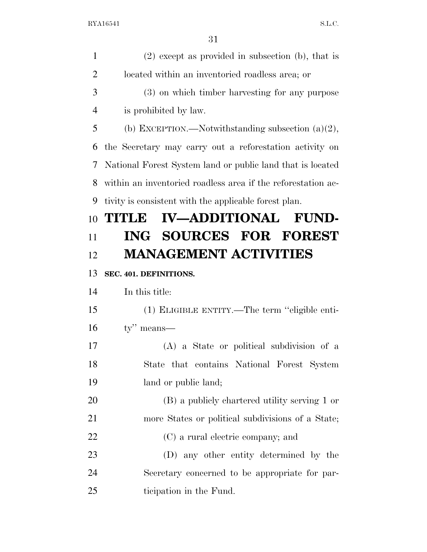| $\mathbf{1}$   | $(2)$ except as provided in subsection (b), that is          |
|----------------|--------------------------------------------------------------|
| $\overline{2}$ | located within an inventoried roadless area; or              |
| 3              | (3) on which timber harvesting for any purpose               |
| $\overline{4}$ | is prohibited by law.                                        |
| 5              | (b) EXCEPTION.—Notwithstanding subsection $(a)(2)$ ,         |
| 6              | the Secretary may carry out a reforestation activity on      |
| 7              | National Forest System land or public land that is located   |
| 8              | within an inventoried roadless area if the reforestation ac- |
| 9              | tivity is consistent with the applicable forest plan.        |
| 10             | <b>IV-ADDITIONAL FUND-</b><br>TITUE                          |
| 11             | ING SOURCES FOR FOREST                                       |
| 12             | <b>MANAGEMENT ACTIVITIES</b>                                 |
| 13             | SEC. 401. DEFINITIONS.                                       |
| 14             | In this title:                                               |
| 15             | (1) ELIGIBLE ENTITY.—The term "eligible enti-                |
| 16             | $ty''$ means—                                                |
| 17             | (A) a State or political subdivision of a                    |
| 18             | State that contains National Forest System                   |
| 19             | land or public land;                                         |
| 20             | (B) a publicly chartered utility serving 1 or                |
| 21             | more States or political subdivisions of a State;            |
| 22             | (C) a rural electric company; and                            |
| 23             | (D) any other entity determined by the                       |
| 24             | Secretary concerned to be appropriate for par-               |
| 25             | ticipation in the Fund.                                      |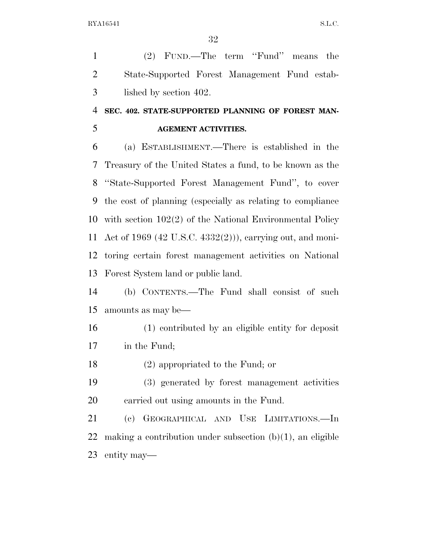(2) FUND.—The term ''Fund'' means the State-Supported Forest Management Fund estab-lished by section 402.

## **SEC. 402. STATE-SUPPORTED PLANNING OF FOREST MAN-AGEMENT ACTIVITIES.**

 (a) ESTABLISHMENT.—There is established in the Treasury of the United States a fund, to be known as the ''State-Supported Forest Management Fund'', to cover the cost of planning (especially as relating to compliance with section 102(2) of the National Environmental Policy Act of 1969 (42 U.S.C. 4332(2))), carrying out, and moni- toring certain forest management activities on National Forest System land or public land.

 (b) CONTENTS.—The Fund shall consist of such amounts as may be—

- (1) contributed by an eligible entity for deposit in the Fund;
- (2) appropriated to the Fund; or
- (3) generated by forest management activities carried out using amounts in the Fund.

 (c) GEOGRAPHICAL AND USE LIMITATIONS.—In 22 making a contribution under subsection  $(b)(1)$ , an eligible entity may—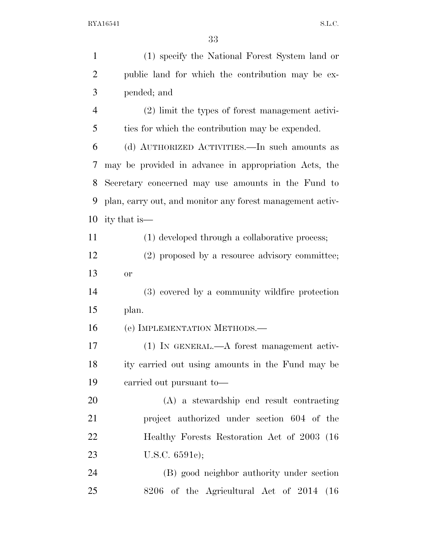| $\mathbf{1}$   | (1) specify the National Forest System land or            |
|----------------|-----------------------------------------------------------|
| $\overline{2}$ | public land for which the contribution may be ex-         |
| 3              | pended; and                                               |
| $\overline{4}$ | (2) limit the types of forest management activi-          |
| 5              | ties for which the contribution may be expended.          |
| 6              | (d) AUTHORIZED ACTIVITIES.—In such amounts as             |
| 7              | may be provided in advance in appropriation Acts, the     |
| 8              | Secretary concerned may use amounts in the Fund to        |
| 9              | plan, carry out, and monitor any forest management activ- |
| 10             | ity that is—                                              |
| 11             | (1) developed through a collaborative process;            |
| 12             | (2) proposed by a resource advisory committee;            |
| 13             | or                                                        |
| 14             | (3) covered by a community wildfire protection            |
| 15             | plan.                                                     |
| 16             | (e) IMPLEMENTATION METHODS.—                              |
| 17             | (1) IN GENERAL.—A forest management activ-                |
| 18             | ity carried out using amounts in the Fund may be          |
| 19             | carried out pursuant to-                                  |
| 20             | (A) a stewardship end result contracting                  |
| 21             | project authorized under section 604 of the               |
| 22             | Healthy Forests Restoration Act of 2003 (16)              |
| 23             | U.S.C. $6591c$ ;                                          |
| 24             | (B) good neighbor authority under section                 |
| 25             | 8206 of the Agricultural Act of 2014<br>(16)              |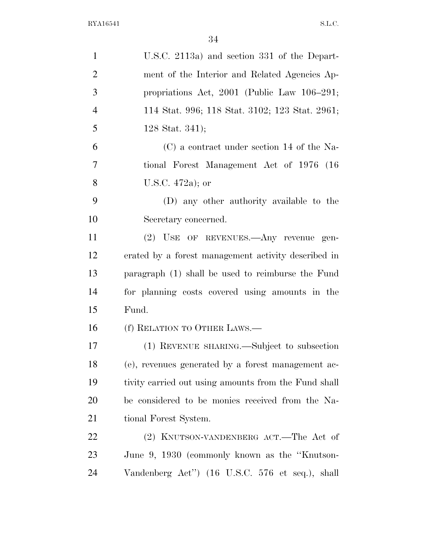| $\mathbf{1}$   | U.S.C. 2113a) and section 331 of the Depart-         |
|----------------|------------------------------------------------------|
| $\overline{2}$ | ment of the Interior and Related Agencies Ap-        |
| 3              | propriations Act, $2001$ (Public Law $106-291$ ;     |
| $\overline{4}$ | 114 Stat. 996; 118 Stat. 3102; 123 Stat. 2961;       |
| 5              | 128 Stat. 341);                                      |
| 6              | (C) a contract under section 14 of the Na-           |
| 7              | tional Forest Management Act of 1976 (16)            |
| 8              | U.S.C. 472a); or                                     |
| 9              | (D) any other authority available to the             |
| 10             | Secretary concerned.                                 |
| 11             | (2) USE OF REVENUES.—Any revenue gen-                |
| 12             | erated by a forest management activity described in  |
| 13             | paragraph (1) shall be used to reimburse the Fund    |
| 14             | for planning costs covered using amounts in the      |
| 15             | Fund.                                                |
| 16             | (f) RELATION TO OTHER LAWS.—                         |
| 17             | (1) REVENUE SHARING.—Subject to subsection           |
| 18             | (e), revenues generated by a forest management ac-   |
| 19             | tivity carried out using amounts from the Fund shall |
| 20             | be considered to be monies received from the Na-     |
| 21             | tional Forest System.                                |
| <u>22</u>      | (2) KNUTSON-VANDENBERG ACT.—The Act of               |
| 23             | June 9, 1930 (commonly known as the "Knutson-        |
| 24             | Vandenberg Act") (16 U.S.C. 576 et seq.), shall      |
|                |                                                      |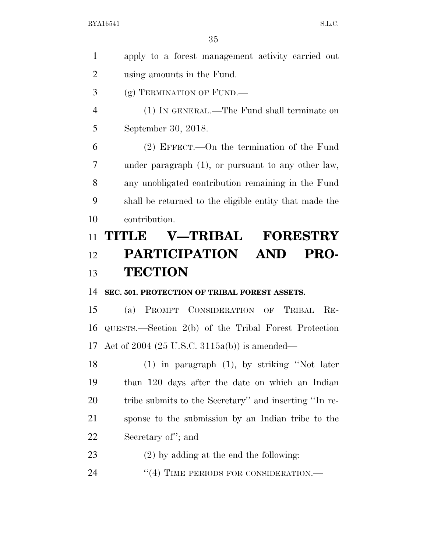| $\mathbf{1}$   | apply to a forest management activity carried out      |
|----------------|--------------------------------------------------------|
| $\overline{2}$ | using amounts in the Fund.                             |
| 3              | (g) TERMINATION OF FUND.                               |
| $\overline{4}$ | (1) IN GENERAL.—The Fund shall terminate on            |
| 5              | September 30, 2018.                                    |
| 6              | $(2)$ EFFECT.—On the termination of the Fund           |
| 7              | under paragraph $(1)$ , or pursuant to any other law,  |
| 8              | any unobligated contribution remaining in the Fund     |
| 9              | shall be returned to the eligible entity that made the |
| 10             | contribution.                                          |
| 11             | <b>V-TRIBAL</b><br><b>FORESTRY</b><br><b>TITLE</b>     |
| 12             | PARTICIPATION AND<br><b>PRO-</b>                       |
|                |                                                        |
| 13             | <b>TECTION</b>                                         |
| 14             | SEC. 501. PROTECTION OF TRIBAL FOREST ASSETS.          |
| 15             | (a) PROMPT CONSIDERATION OF TRIBAL<br>$RE-$            |
| 16             | QUESTS.—Section 2(b) of the Tribal Forest Protection   |
| 17             | Act of 2004 (25 U.S.C. 3115a(b)) is amended—           |
| 18             | $(1)$ in paragraph $(1)$ , by striking "Not later      |
| 19             | than 120 days after the date on which an Indian        |
| 20             | tribe submits to the Secretary" and inserting "In re-  |
| 21             | sponse to the submission by an Indian tribe to the     |
| 22             | Secretary of"; and                                     |
| 23             | $(2)$ by adding at the end the following:              |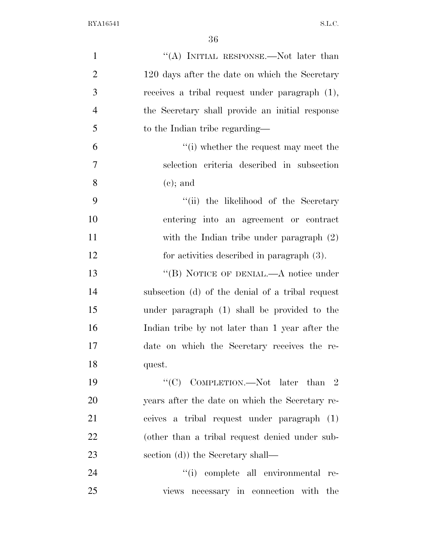| $\mathbf{1}$   | "(A) INITIAL RESPONSE.—Not later than            |
|----------------|--------------------------------------------------|
| $\overline{2}$ | 120 days after the date on which the Secretary   |
| 3              | receives a tribal request under paragraph (1),   |
| $\overline{4}$ | the Secretary shall provide an initial response  |
| 5              | to the Indian tribe regarding—                   |
| 6              | $\lq\lq$ (i) whether the request may meet the    |
| $\overline{7}$ | selection criteria described in subsection       |
| 8              | $(e)$ ; and                                      |
| 9              | "(ii) the likelihood of the Secretary            |
| 10             | entering into an agreement or contract           |
| 11             | with the Indian tribe under paragraph (2)        |
| 12             | for activities described in paragraph (3).       |
| 13             | "(B) NOTICE OF DENIAL.—A notice under            |
| 14             | subsection (d) of the denial of a tribal request |
| 15             | under paragraph (1) shall be provided to the     |
| 16             | Indian tribe by not later than 1 year after the  |
| 17             | date on which the Secretary receives the re-     |
| 18             | quest.                                           |
| 19             | "(C) COMPLETION.—Not later than $2$              |
| 20             | years after the date on which the Secretary re-  |
| 21             | ceives a tribal request under paragraph (1)      |
| 22             | (other than a tribal request denied under sub-   |
| 23             | section (d)) the Secretary shall—                |
| 24             | "(i) complete all environmental re-              |
| 25             | views necessary in connection with the           |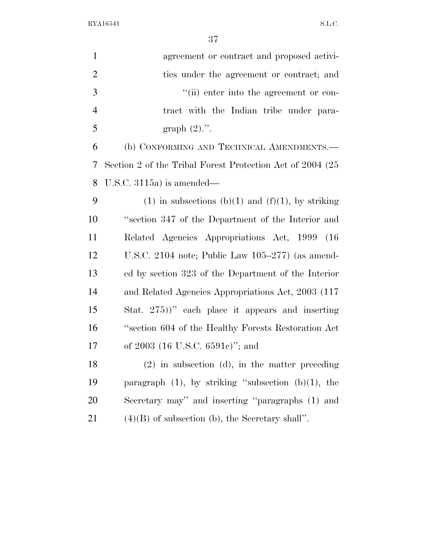| $\mathbf{1}$   | agreement or contract and proposed activi-                |
|----------------|-----------------------------------------------------------|
| $\overline{2}$ | ties under the agreement or contract; and                 |
| 3              | "(ii) enter into the agreement or con-                    |
| $\overline{4}$ | tract with the Indian tribe under para-                   |
| 5              | graph $(2)$ .".                                           |
| 6              | (b) CONFORMING AND TECHNICAL AMENDMENTS.-                 |
| 7              | Section 2 of the Tribal Forest Protection Act of 2004 (25 |
| 8              | U.S.C. $3115a$ is amended—                                |
| 9              | $(1)$ in subsections $(b)(1)$ and $(f)(1)$ , by striking  |
| 10             | "section 347 of the Department of the Interior and        |
| 11             | Related Agencies Appropriations Act, 1999 (16)            |
| 12             | U.S.C. 2104 note; Public Law $105-277$ (as amend-         |
| 13             | ed by section 323 of the Department of the Interior       |
| 14             | and Related Agencies Appropriations Act, 2003 (117)       |
| 15             | Stat. 275))" each place it appears and inserting          |
| 16             | "section 604 of the Healthy Forests Restoration Act       |
| 17             | of 2003 (16 U.S.C. 6591c)"; and                           |
| 18             | $(2)$ in subsection (d), in the matter preceding          |
| 19             | paragraph $(1)$ , by striking "subsection $(b)(1)$ , the  |
| 20             | Secretary may" and inserting "paragraphs (1) and          |
| 21             | $(4)(B)$ of subsection (b), the Secretary shall".         |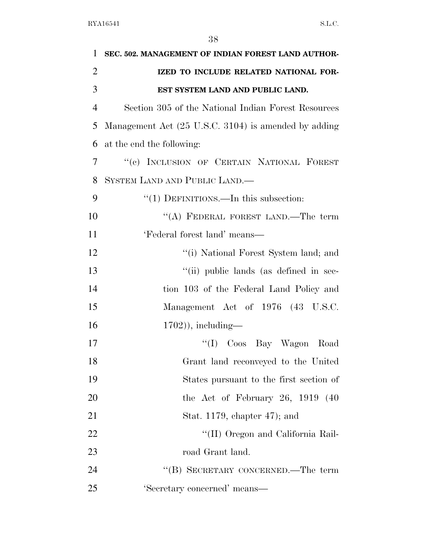| 1              | SEC. 502. MANAGEMENT OF INDIAN FOREST LAND AUTHOR-   |
|----------------|------------------------------------------------------|
| $\overline{2}$ | IZED TO INCLUDE RELATED NATIONAL FOR-                |
| 3              | EST SYSTEM LAND AND PUBLIC LAND.                     |
| $\overline{4}$ | Section 305 of the National Indian Forest Resources  |
| 5              | Management Act (25 U.S.C. 3104) is amended by adding |
| 6              | at the end the following:                            |
| 7              | "(c) INCLUSION OF CERTAIN NATIONAL FOREST            |
| 8              | SYSTEM LAND AND PUBLIC LAND.—                        |
| 9              | "(1) DEFINITIONS.—In this subsection:                |
| 10             | "(A) FEDERAL FOREST LAND.—The term                   |
| 11             | 'Federal forest land' means-                         |
| 12             | "(i) National Forest System land; and                |
| 13             | "(ii) public lands (as defined in sec-               |
| 14             | tion 103 of the Federal Land Policy and              |
| 15             | Management Act of 1976 (43 U.S.C.                    |
| 16             | $(1702)$ , including—                                |
| 17             | "(I) Coos Bay Wagon Road                             |
| 18             | Grant land reconveyed to the United                  |
| 19             | States pursuant to the first section of              |
| 20             | the Act of February 26, $1919$ (40                   |
| 21             | Stat. 1179, chapter $47$ ); and                      |
| 22             | "(II) Oregon and California Rail-                    |
| 23             | road Grant land.                                     |
| 24             | "(B) SECRETARY CONCERNED.—The term                   |
| 25             | 'Secretary concerned' means-                         |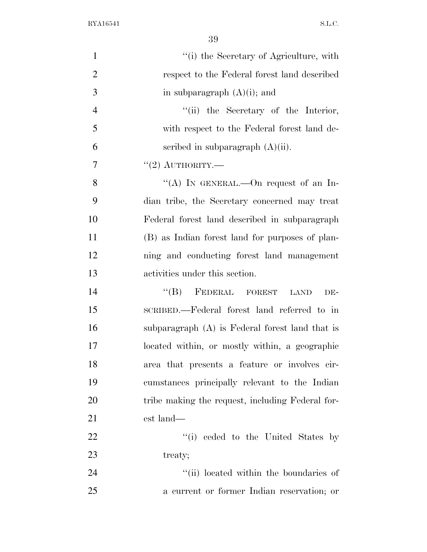| $\mathbf{1}$   | "(i) the Secretary of Agriculture, with           |
|----------------|---------------------------------------------------|
| $\overline{2}$ | respect to the Federal forest land described      |
| 3              | in subparagraph $(A)(i)$ ; and                    |
| $\overline{4}$ | "(ii) the Secretary of the Interior,              |
| 5              | with respect to the Federal forest land de-       |
| 6              | scribed in subparagraph $(A)(ii)$ .               |
| 7              | "(2) AUTHORITY.—                                  |
| 8              | "(A) IN GENERAL.—On request of an In-             |
| 9              | dian tribe, the Secretary concerned may treat     |
| 10             | Federal forest land described in subparagraph     |
| 11             | (B) as Indian forest land for purposes of plan-   |
| 12             | ning and conducting forest land management        |
| 13             | activities under this section.                    |
| 14             | $\lq\lq (B)$ FEDERAL FOREST<br><b>LAND</b><br>DE- |
| 15             | SCRIBED.—Federal forest land referred to in       |
| 16             | subparagraph (A) is Federal forest land that is   |
| 17             | located within, or mostly within, a geographic    |
| 18             | area that presents a feature or involves cir-     |
| 19             | cumstances principally relevant to the Indian     |
| 20             | tribe making the request, including Federal for-  |
| 21             | est land—                                         |
| 22             | "(i) ceded to the United States by                |
| 23             | treaty;                                           |
| 24             | "(ii) located within the boundaries of            |
| 25             | a current or former Indian reservation; or        |
|                |                                                   |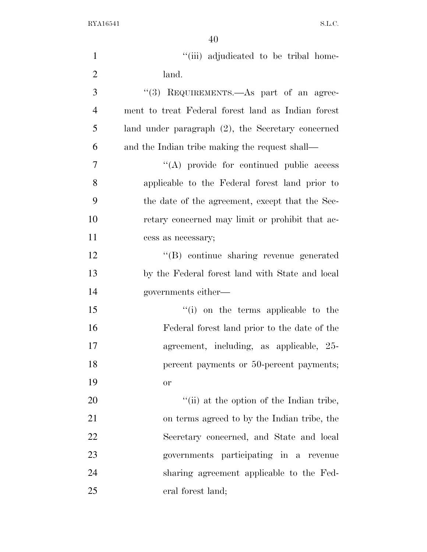| $\mathbf{1}$   | "(iii) adjudicated to be tribal home-                |
|----------------|------------------------------------------------------|
| $\overline{2}$ | land.                                                |
| 3              | "(3) REQUIREMENTS. As part of an agree-              |
| $\overline{4}$ | ment to treat Federal forest land as Indian forest   |
| 5              | land under paragraph $(2)$ , the Secretary concerned |
| 6              | and the Indian tribe making the request shall—       |
| 7              | "(A) provide for continued public access             |
| 8              | applicable to the Federal forest land prior to       |
| 9              | the date of the agreement, except that the Sec-      |
| 10             | retary concerned may limit or prohibit that ac-      |
| 11             | cess as necessary;                                   |
| 12             | "(B) continue sharing revenue generated              |
| 13             | by the Federal forest land with State and local      |
| 14             | governments either—                                  |
| 15             | "(i) on the terms applicable to the                  |
| 16             | Federal forest land prior to the date of the         |
| 17             | agreement, including, as applicable, 25-             |
| 18             | percent payments or 50-percent payments;             |
| 19             | or                                                   |
| 20             | "(ii) at the option of the Indian tribe,             |
| 21             | on terms agreed to by the Indian tribe, the          |
| 22             | Secretary concerned, and State and local             |
| 23             | governments participating in a revenue               |
| 24             | sharing agreement applicable to the Fed-             |
| 25             | eral forest land;                                    |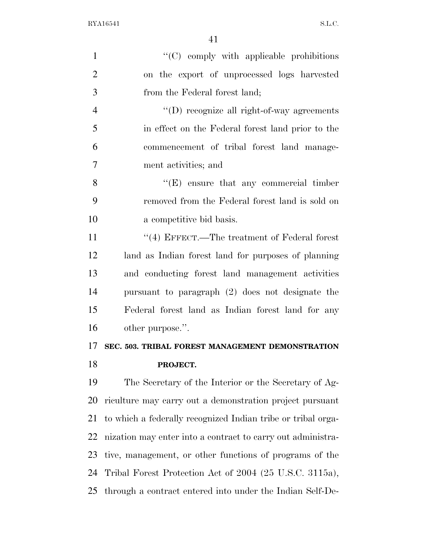| $\mathbf{1}$   | $\lq\lq$ comply with applicable prohibitions                 |
|----------------|--------------------------------------------------------------|
| $\overline{2}$ | on the export of unprocessed logs harvested                  |
| 3              | from the Federal forest land;                                |
| $\overline{4}$ | $\lq\lq$ (D) recognize all right-of-way agreements           |
| 5              | in effect on the Federal forest land prior to the            |
| 6              | commencement of tribal forest land manage-                   |
| $\overline{7}$ | ment activities; and                                         |
| 8              | $\lq\lq(E)$ ensure that any commercial timber                |
| 9              | removed from the Federal forest land is sold on              |
| 10             | a competitive bid basis.                                     |
| 11             | $``(4)$ EFFECT.—The treatment of Federal forest              |
| 12             | land as Indian forest land for purposes of planning          |
| 13             | and conducting forest land management activities             |
| 14             | pursuant to paragraph (2) does not designate the             |
| 15             | Federal forest land as Indian forest land for any            |
| 16             | other purpose.".                                             |
| 17             | SEC. 503. TRIBAL FOREST MANAGEMENT DEMONSTRATION             |
| 18             | PROJECT.                                                     |
| 19             | The Secretary of the Interior or the Secretary of Ag-        |
| 20             | riculture may carry out a demonstration project pursuant     |
| 21             | to which a federally recognized Indian tribe or tribal orga- |
| 22             | nization may enter into a contract to carry out administra-  |
| 23             | tive, management, or other functions of programs of the      |
| 24             | Tribal Forest Protection Act of 2004 (25 U.S.C. 3115a),      |
| 25             | through a contract entered into under the Indian Self-De-    |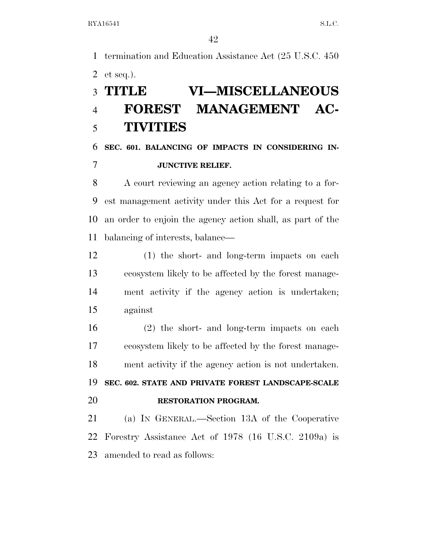termination and Education Assistance Act (25 U.S.C. 450 et seq.).

# **TITLE VI—MISCELLANEOUS FOREST MANAGEMENT AC-TIVITIES**

## **SEC. 601. BALANCING OF IMPACTS IN CONSIDERING IN-JUNCTIVE RELIEF.**

 A court reviewing an agency action relating to a for- est management activity under this Act for a request for an order to enjoin the agency action shall, as part of the balancing of interests, balance—

 (1) the short- and long-term impacts on each ecosystem likely to be affected by the forest manage- ment activity if the agency action is undertaken; against

 (2) the short- and long-term impacts on each ecosystem likely to be affected by the forest manage-ment activity if the agency action is not undertaken.

 **SEC. 602. STATE AND PRIVATE FOREST LANDSCAPE-SCALE RESTORATION PROGRAM.** 

 (a) IN GENERAL.—Section 13A of the Cooperative Forestry Assistance Act of 1978 (16 U.S.C. 2109a) is amended to read as follows: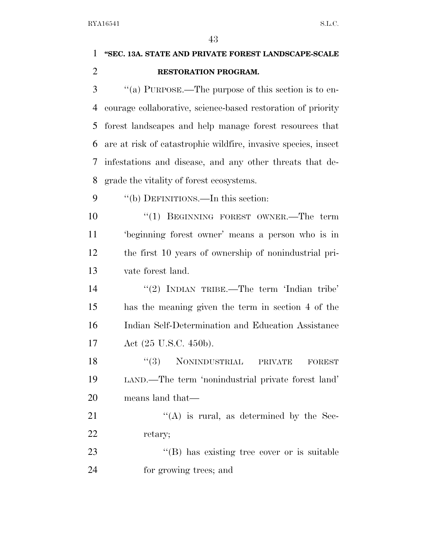# **''SEC. 13A. STATE AND PRIVATE FOREST LANDSCAPE-SCALE RESTORATION PROGRAM.**

 ''(a) PURPOSE.—The purpose of this section is to en- courage collaborative, science-based restoration of priority forest landscapes and help manage forest resources that are at risk of catastrophic wildfire, invasive species, insect infestations and disease, and any other threats that de-grade the vitality of forest ecosystems.

9 "(b) DEFINITIONS.—In this section:

 $(1)$  BEGINNING FOREST OWNER.—The term 'beginning forest owner' means a person who is in the first 10 years of ownership of nonindustrial pri-vate forest land.

14 "(2) INDIAN TRIBE.—The term 'Indian tribe' has the meaning given the term in section 4 of the Indian Self-Determination and Education Assistance Act (25 U.S.C. 450b).

18 "(3) NONINDUSTRIAL PRIVATE FOREST LAND.—The term 'nonindustrial private forest land' means land that—

21  $((A)$  is rural, as determined by the Sec-22 retary;

23 "(B) has existing tree cover or is suitable for growing trees; and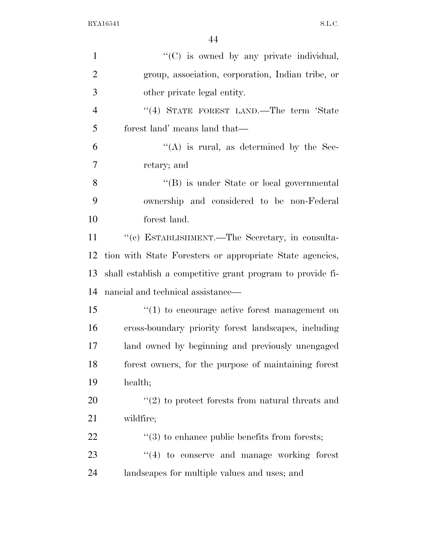| $\mathbf{1}$   | "(C) is owned by any private individual,                     |
|----------------|--------------------------------------------------------------|
| $\overline{2}$ | group, association, corporation, Indian tribe, or            |
| 3              | other private legal entity.                                  |
| $\overline{4}$ | "(4) STATE FOREST LAND.—The term 'State                      |
| 5              | forest land' means land that—                                |
| 6              | $\lq\lq$ is rural, as determined by the Sec-                 |
| $\tau$         | retary; and                                                  |
| 8              | "(B) is under State or local governmental                    |
| 9              | ownership and considered to be non-Federal                   |
| 10             | forest land.                                                 |
| 11             | "(c) ESTABLISHMENT.—The Secretary, in consulta-              |
| 12             | tion with State Foresters or appropriate State agencies,     |
| 13             | shall establish a competitive grant program to provide fi-   |
| 14             | nancial and technical assistance—                            |
| 15             | $\cdot\cdot(1)$ to encourage active forest management on     |
| 16             | cross-boundary priority forest landscapes, including         |
| 17             | land owned by beginning and previously unengaged             |
| 18             | forest owners, for the purpose of maintaining forest         |
| 19             | health;                                                      |
| 20             | $\cdot\cdot$ (2) to protect forests from natural threats and |
| 21             | wildfire;                                                    |
| 22             | $\cdot\cdot(3)$ to enhance public benefits from forests;     |
| 23             | $\lq(4)$ to conserve and manage working forest               |
| 24             | landscapes for multiple values and uses; and                 |
|                |                                                              |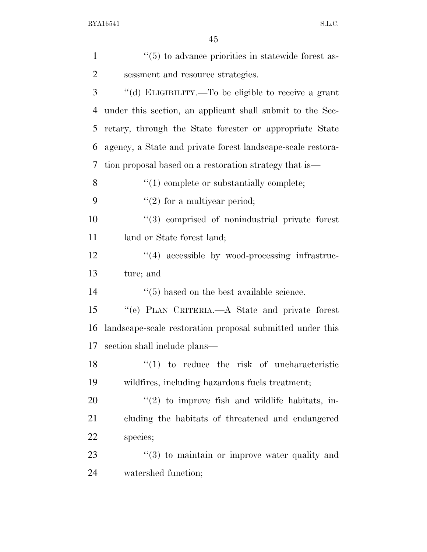| $\mathbf{1}$   | $\cdot\cdot$ (5) to advance priorities in statewide forest as- |
|----------------|----------------------------------------------------------------|
| $\overline{2}$ | sessment and resource strategies.                              |
| 3              | "(d) ELIGIBILITY.—To be eligible to receive a grant            |
| $\overline{4}$ | under this section, an applicant shall submit to the Sec-      |
| 5              | retary, through the State forester or appropriate State        |
| 6              | agency, a State and private forest landscape-scale restora-    |
| 7              | tion proposal based on a restoration strategy that is—         |
| 8              | $\lq(1)$ complete or substantially complete;                   |
| 9              | $"(2)$ for a multiyear period;                                 |
| 10             | "(3) comprised of nonindustrial private forest                 |
| 11             | land or State forest land;                                     |
| 12             | $\lq(4)$ accessible by wood-processing infrastruc-             |
| 13             | ture; and                                                      |
| 14             | $\cdot$ (5) based on the best available science.               |
| 15             | "(e) PLAN CRITERIA.—A State and private forest                 |
| 16             | landscape-scale restoration proposal submitted under this      |
| 17             | section shall include plans—                                   |
| 18             | $(1)$ to reduce the risk of uncharacteristic                   |
| 19             | wildfires, including hazardous fuels treatment;                |
| 20             | $\lq(2)$ to improve fish and wildlife habitats, in-            |
| 21             | cluding the habitats of threatened and endangered              |
| <u>22</u>      | species;                                                       |
| 23             |                                                                |
|                | $\cdot\cdot\cdot(3)$ to maintain or improve water quality and  |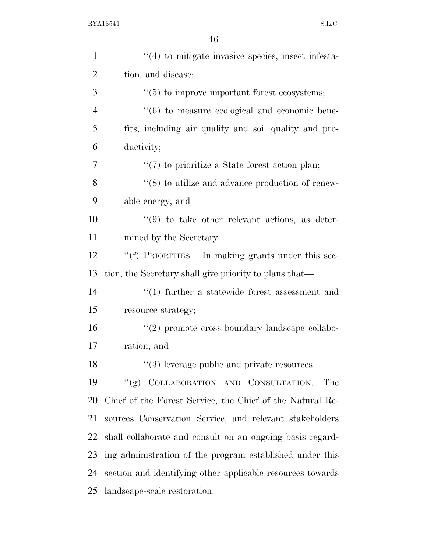| $\mathbf{1}$   | "(4) to mitigate invasive species, insect infesta-            |
|----------------|---------------------------------------------------------------|
| $\overline{2}$ | tion, and disease;                                            |
| 3              | $\lq(5)$ to improve important forest ecosystems;              |
| $\overline{4}$ | $\cdot\cdot\cdot(6)$ to measure ecological and economic bene- |
| 5              | fits, including air quality and soil quality and pro-         |
| 6              | ductivity;                                                    |
| 7              | $\lq(7)$ to prioritize a State forest action plan;            |
| 8              | $\cdot\cdot$ (8) to utilize and advance production of renew-  |
| 9              | able energy; and                                              |
| 10             | $(9)$ to take other relevant actions, as deter-               |
| 11             | mined by the Secretary.                                       |
| 12             | "(f) PRIORITIES.—In making grants under this sec-             |
| 13             | tion, the Secretary shall give priority to plans that—        |
| 14             | $\cdot$ (1) further a statewide forest assessment and         |
| 15             | resource strategy;                                            |
| 16             | "(2) promote cross boundary landscape collabo-                |
| 17             | ration; and                                                   |
| 18             | $\lq(3)$ leverage public and private resources.               |
| 19             | "(g) COLLABORATION AND CONSULTATION.—The                      |
| 20             | Chief of the Forest Service, the Chief of the Natural Re-     |
| 21             | sources Conservation Service, and relevant stakeholders       |
| 22             | shall collaborate and consult on an ongoing basis regard-     |
| 23             | ing administration of the program established under this      |
| 24             | section and identifying other applicable resources towards    |
| 25             | landscape-scale restoration.                                  |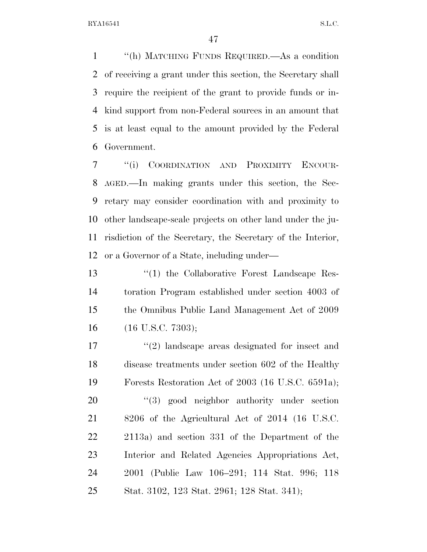''(h) MATCHING FUNDS REQUIRED.—As a condition of receiving a grant under this section, the Secretary shall require the recipient of the grant to provide funds or in- kind support from non-Federal sources in an amount that is at least equal to the amount provided by the Federal Government.

 ''(i) COORDINATION AND PROXIMITY ENCOUR- AGED.—In making grants under this section, the Sec- retary may consider coordination with and proximity to other landscape-scale projects on other land under the ju- risdiction of the Secretary, the Secretary of the Interior, or a Governor of a State, including under—

 ''(1) the Collaborative Forest Landscape Res- toration Program established under section 4003 of the Omnibus Public Land Management Act of 2009 (16 U.S.C. 7303);

 ''(2) landscape areas designated for insect and disease treatments under section 602 of the Healthy Forests Restoration Act of 2003 (16 U.S.C. 6591a);  $(3)$  good neighbor authority under section 8206 of the Agricultural Act of 2014 (16 U.S.C. 2113a) and section 331 of the Department of the Interior and Related Agencies Appropriations Act, 2001 (Public Law 106–291; 114 Stat. 996; 118 Stat. 3102, 123 Stat. 2961; 128 Stat. 341);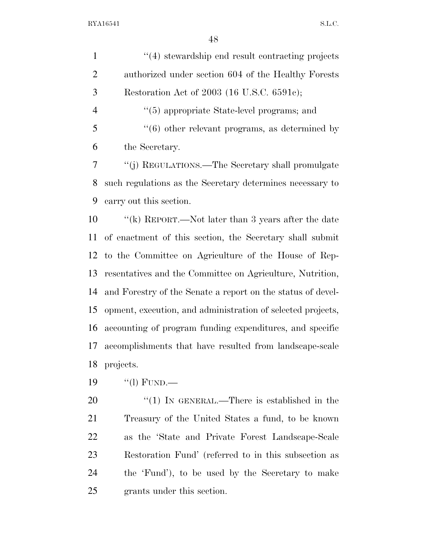| $\mathbf{1}$   | "(4) stewardship end result contracting projects               |
|----------------|----------------------------------------------------------------|
| $\overline{2}$ | authorized under section 604 of the Healthy Forests            |
| 3              | Restoration Act of 2003 (16 U.S.C. 6591c);                     |
| $\overline{4}$ | $\cdot\cdot$ (5) appropriate State-level programs; and         |
| 5              | $\cdot\cdot\cdot(6)$ other relevant programs, as determined by |
| 6              | the Secretary.                                                 |
| 7              | "(j) REGULATIONS.—The Secretary shall promulgate               |
| 8              | such regulations as the Secretary determines necessary to      |
| 9              | carry out this section.                                        |
| 10             | "(k) REPORT.—Not later than 3 years after the date             |
| 11             | of enactment of this section, the Secretary shall submit       |
| 12             | to the Committee on Agriculture of the House of Rep-           |
| 13             | resentatives and the Committee on Agriculture, Nutrition,      |
| 14             | and Forestry of the Senate a report on the status of devel-    |
| 15             | opment, execution, and administration of selected projects,    |
| 16             | accounting of program funding expenditures, and specific       |
| 17             | accomplishments that have resulted from landscape-scale        |
| 18             | projects.                                                      |
| 19             | "(l) FUND.—                                                    |
| 20             | "(1) IN GENERAL.—There is established in the                   |
| 21             | Treasury of the United States a fund, to be known              |
| 22             | as the 'State and Private Forest Landscape-Scale               |
|                |                                                                |

 Restoration Fund' (referred to in this subsection as the 'Fund'), to be used by the Secretary to make grants under this section.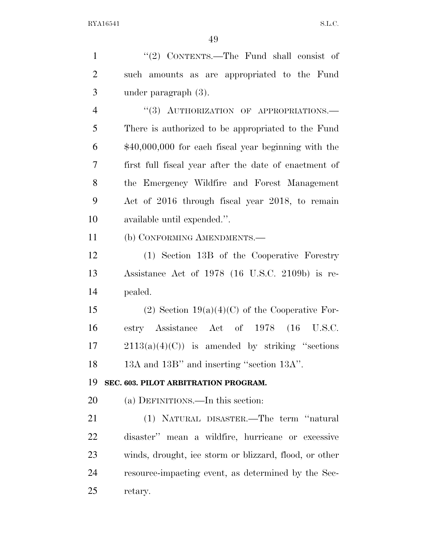| $\mathbf{1}$   | " $(2)$ CONTENTS.—The Fund shall consist of            |
|----------------|--------------------------------------------------------|
| $\overline{2}$ | such amounts as are appropriated to the Fund           |
| 3              | under paragraph $(3)$ .                                |
| $\overline{4}$ | "(3) AUTHORIZATION OF APPROPRIATIONS.-                 |
| 5              | There is authorized to be appropriated to the Fund     |
| 6              | $$40,000,000$ for each fiscal year beginning with the  |
| 7              | first full fiscal year after the date of enactment of  |
| 8              | the Emergency Wildfire and Forest Management           |
| 9              | Act of 2016 through fiscal year 2018, to remain        |
| 10             | available until expended.".                            |
| 11             | (b) CONFORMING AMENDMENTS.-                            |
| 12             | (1) Section 13B of the Cooperative Forestry            |
| 13             | Assistance Act of 1978 (16 U.S.C. 2109b) is re-        |
| 14             | pealed.                                                |
| 15             | $(2)$ Section 19(a)(4)(C) of the Cooperative For-      |
| 16             | estry Assistance Act of 1978 (16 U.S.C.                |
| 17             | $2113(a)(4)(C)$ is amended by striking "sections"      |
| 18             | 13A and 13B" and inserting "section 13A".              |
| 19             | SEC. 603. PILOT ARBITRATION PROGRAM.                   |
| 20             | (a) DEFINITIONS.—In this section:                      |
| 21             | (1) NATURAL DISASTER.—The term "natural                |
| 22             | disaster" mean a wildfire, hurricane or excessive      |
| 23             | winds, drought, ice storm or blizzard, flood, or other |
| 24             | resource-impacting event, as determined by the Sec-    |
| 25             | retary.                                                |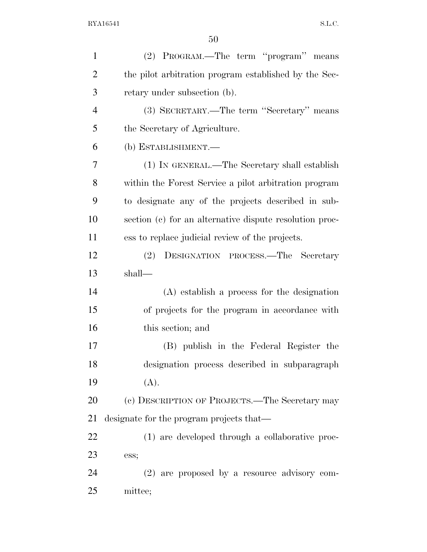| $\mathbf{1}$   | (2) PROGRAM.—The term "program" means                   |
|----------------|---------------------------------------------------------|
| $\overline{2}$ | the pilot arbitration program established by the Sec-   |
| 3              | retary under subsection (b).                            |
| $\overline{4}$ | (3) SECRETARY.—The term "Secretary" means               |
| 5              | the Secretary of Agriculture.                           |
| 6              | (b) ESTABLISHMENT.—                                     |
| 7              | (1) IN GENERAL.—The Secretary shall establish           |
| 8              | within the Forest Service a pilot arbitration program   |
| 9              | to designate any of the projects described in sub-      |
| 10             | section (c) for an alternative dispute resolution proc- |
| 11             | ess to replace judicial review of the projects.         |
| 12             | (2)<br>DESIGNATION PROCESS.—The Secretary               |
| 13             | shall—                                                  |
| 14             | $(A)$ establish a process for the designation           |
| 15             | of projects for the program in accordance with          |
| 16             | this section; and                                       |
| 17             | (B) publish in the Federal Register the                 |
| 18             | designation process described in subparagraph           |
| 19             | (A).                                                    |
| 20             | (c) DESCRIPTION OF PROJECTS.—The Secretary may          |
| 21             | designate for the program projects that—                |
| 22             | (1) are developed through a collaborative proc-         |
| 23             | ess;                                                    |
| 24             | $(2)$ are proposed by a resource advisory com-          |
| 25             | mittee;                                                 |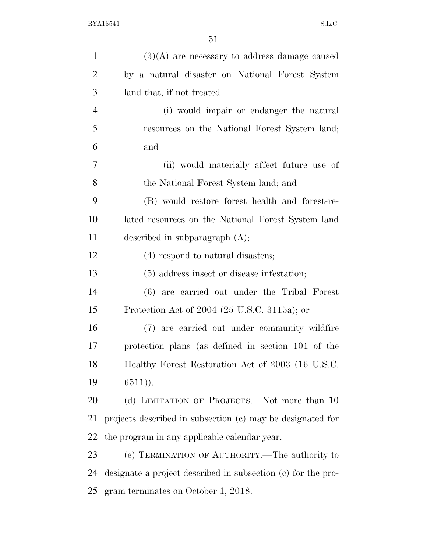| $\mathbf{1}$   | $(3)(A)$ are necessary to address damage caused              |
|----------------|--------------------------------------------------------------|
| $\overline{2}$ | by a natural disaster on National Forest System              |
| 3              | land that, if not treated—                                   |
| $\overline{4}$ | (i) would impair or endanger the natural                     |
| 5              | resources on the National Forest System land;                |
| 6              | and                                                          |
| 7              | (ii) would materially affect future use of                   |
| 8              | the National Forest System land; and                         |
| 9              | (B) would restore forest health and forest-re-               |
| 10             | lated resources on the National Forest System land           |
| 11             | described in subparagraph $(A)$ ;                            |
| 12             | (4) respond to natural disasters;                            |
| 13             | (5) address insect or disease infestation;                   |
| 14             | (6) are carried out under the Tribal Forest                  |
| 15             | Protection Act of 2004 (25 U.S.C. 3115a); or                 |
| 16             | (7) are carried out under community wildfire                 |
| 17             | protection plans (as defined in section 101 of the           |
| 18             | Healthy Forest Restoration Act of 2003 (16 U.S.C.            |
| 19             | $6511)$ .                                                    |
| 20             | (d) LIMITATION OF PROJECTS.—Not more than 10                 |
| 21             | projects described in subsection (c) may be designated for   |
| 22             | the program in any applicable calendar year.                 |
| 23             | (e) TERMINATION OF AUTHORITY.—The authority to               |
| 24             | designate a project described in subsection (c) for the pro- |
| 25             | gram terminates on October 1, 2018.                          |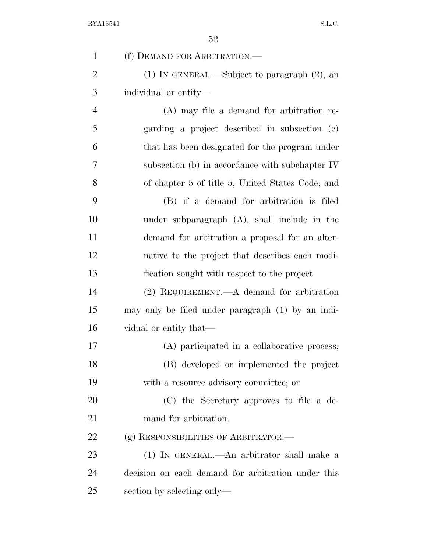| $\mathbf{1}$   | (f) DEMAND FOR ARBITRATION.—                       |
|----------------|----------------------------------------------------|
| $\overline{2}$ | $(1)$ In GENERAL.—Subject to paragraph $(2)$ , an  |
| 3              | individual or entity—                              |
| $\overline{4}$ | $(A)$ may file a demand for arbitration re-        |
| 5              | garding a project described in subsection (c)      |
| 6              | that has been designated for the program under     |
| 7              | subsection (b) in accordance with subchapter IV    |
| 8              | of chapter 5 of title 5, United States Code; and   |
| 9              | (B) if a demand for arbitration is filed           |
| 10             | under subparagraph (A), shall include in the       |
| 11             | demand for arbitration a proposal for an alter-    |
| 12             | native to the project that describes each modi-    |
| 13             | fication sought with respect to the project.       |
| 14             | $(2)$ REQUIREMENT.—A demand for arbitration        |
| 15             | may only be filed under paragraph (1) by an indi-  |
| 16             | vidual or entity that—                             |
| 17             | (A) participated in a collaborative process;       |
| 18             | (B) developed or implemented the project           |
| 19             | with a resource advisory committee; or             |
| 20             | (C) the Secretary approves to file a de-           |
| 21             | mand for arbitration.                              |
| 22             | (g) RESPONSIBILITIES OF ARBITRATOR.—               |
| 23             | (1) IN GENERAL.—An arbitrator shall make a         |
| 24             | decision on each demand for arbitration under this |
| 25             | section by selecting only—                         |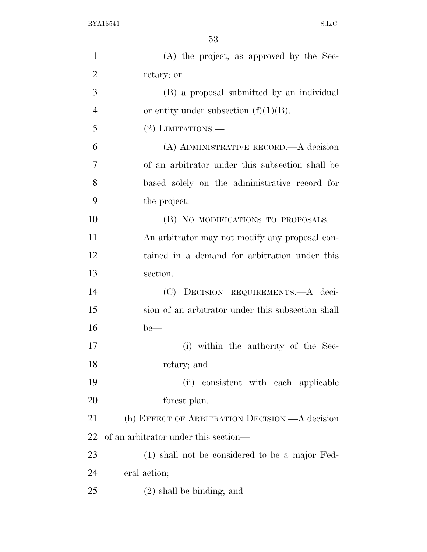| $\mathbf{1}$   | (A) the project, as approved by the Sec-          |
|----------------|---------------------------------------------------|
| $\overline{2}$ | retary; or                                        |
| 3              | (B) a proposal submitted by an individual         |
| $\overline{4}$ | or entity under subsection $(f)(1)(B)$ .          |
| 5              | $(2)$ LIMITATIONS.—                               |
| 6              | (A) ADMINISTRATIVE RECORD.—A decision             |
| 7              | of an arbitrator under this subsection shall be   |
| 8              | based solely on the administrative record for     |
| 9              | the project.                                      |
| 10             | (B) NO MODIFICATIONS TO PROPOSALS.—               |
| 11             | An arbitrator may not modify any proposal con-    |
| 12             | tained in a demand for arbitration under this     |
| 13             | section.                                          |
| 14             | (C) DECISION REQUIREMENTS.—A deci-                |
| 15             | sion of an arbitrator under this subsection shall |
| 16             | $be$ —                                            |
| 17             | (i) within the authority of the Sec-              |
| 18             | retary; and                                       |
| 19             | (ii) consistent with each applicable              |
| 20             | forest plan.                                      |
| 21             | (h) EFFECT OF ARBITRATION DECISION.—A decision    |
| 22             | of an arbitrator under this section—              |
| 23             | (1) shall not be considered to be a major Fed-    |
| 24             | eral action;                                      |
| 25             | $(2)$ shall be binding; and                       |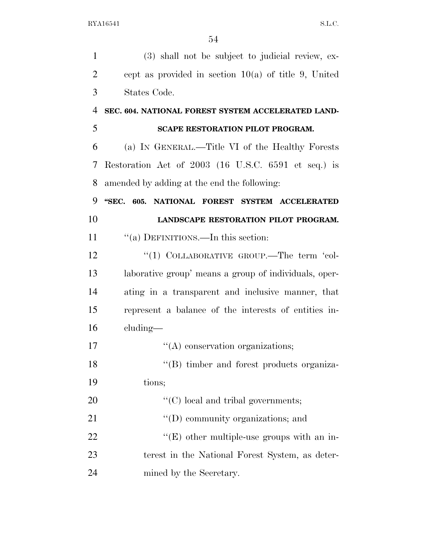| $\mathbf{1}$   | (3) shall not be subject to judicial review, ex-       |
|----------------|--------------------------------------------------------|
| $\overline{2}$ | cept as provided in section $10(a)$ of title 9, United |
| 3              | States Code.                                           |
| $\overline{4}$ | SEC. 604. NATIONAL FOREST SYSTEM ACCELERATED LAND-     |
| 5              | <b>SCAPE RESTORATION PILOT PROGRAM.</b>                |
| 6              | (a) IN GENERAL.—Title VI of the Healthy Forests        |
| 7              | Restoration Act of 2003 (16 U.S.C. 6591 et seq.) is    |
| 8              | amended by adding at the end the following:            |
| 9              | "SEC. 605. NATIONAL FOREST SYSTEM ACCELERATED          |
| 10             | LANDSCAPE RESTORATION PILOT PROGRAM.                   |
| 11             | "(a) DEFINITIONS.—In this section:                     |
| 12             | "(1) COLLABORATIVE GROUP.—The term 'col-               |
| 13             | laborative group' means a group of individuals, oper-  |
| 14             | ating in a transparent and inclusive manner, that      |
| 15             | represent a balance of the interests of entities in-   |
| 16             | $cluding$ —                                            |
| 17             | $\lq\lq$ conservation organizations;                   |
| 18             | "(B) timber and forest products organiza-              |
| 19             | tions;                                                 |
| 20             | $\lq\lq$ (C) local and tribal governments;             |
| 21             | $\lq\lq$ community organizations; and                  |
| 22             | $\lq\lq(E)$ other multiple-use groups with an in-      |
| 23             | terest in the National Forest System, as deter-        |
| 24             | mined by the Secretary.                                |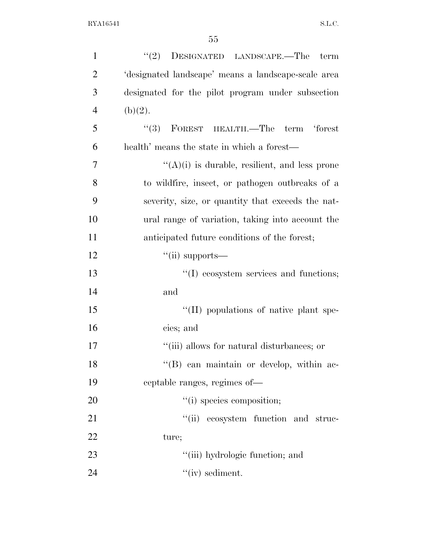| $\mathbf{1}$   | $(2)$ DESIGNATED LANDSCAPE.—The<br>term              |
|----------------|------------------------------------------------------|
| $\overline{2}$ | 'designated landscape' means a landscape-scale area  |
| 3              | designated for the pilot program under subsection    |
| $\overline{4}$ | (b)(2).                                              |
| 5              | $``(3)$ FOREST HEALTH.—The term 'forest              |
| 6              | health' means the state in which a forest—           |
| 7              | $\lq\lq(A)(i)$ is durable, resilient, and less prone |
| 8              | to wildfire, insect, or pathogen outbreaks of a      |
| 9              | severity, size, or quantity that exceeds the nat-    |
| 10             | ural range of variation, taking into account the     |
| 11             | anticipated future conditions of the forest;         |
| 12             | $``$ (ii) supports—                                  |
| 13             | "(I) ecosystem services and functions;               |
| 14             | and                                                  |
| 15             | "(II) populations of native plant spe-               |
| 16             | cies; and                                            |
| 17             | "(iii) allows for natural disturbances; or           |
| 18             | "(B) can maintain or develop, within ac-             |
| 19             | ceptable ranges, regimes of—                         |
| 20             | "(i) species composition;                            |
| 21             | "(ii) ecosystem function and struc-                  |
| 22             | ture;                                                |
| 23             | "(iii) hydrologic function; and                      |
| 24             | $``(iv)$ sediment.                                   |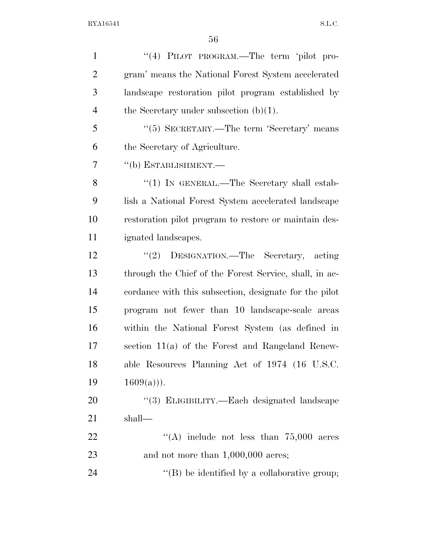| $\mathbf{1}$   | "(4) PILOT PROGRAM.—The term 'pilot pro-               |
|----------------|--------------------------------------------------------|
| $\overline{2}$ | gram' means the National Forest System accelerated     |
| 3              | landscape restoration pilot program established by     |
| $\overline{4}$ | the Secretary under subsection $(b)(1)$ .              |
| 5              | "(5) SECRETARY.—The term 'Secretary' means             |
| 6              | the Secretary of Agriculture.                          |
| 7              | "(b) ESTABLISHMENT.—                                   |
| 8              | "(1) IN GENERAL.—The Secretary shall estab-            |
| 9              | lish a National Forest System accelerated landscape    |
| 10             | restoration pilot program to restore or maintain des-  |
| 11             | ignated landscapes.                                    |
| 12             | DESIGNATION.—The Secretary, acting<br>(2)              |
| 13             | through the Chief of the Forest Service, shall, in ac- |
| 14             | cordance with this subsection, designate for the pilot |
| 15             | program not fewer than 10 landscape-scale areas        |
| 16             | within the National Forest System (as defined in       |
| 17             | section 11(a) of the Forest and Rangeland Renew-       |
| 18             | able Resources Planning Act of 1974 (16 U.S.C.         |
| 19             | $1609(a))$ .                                           |
| 20             | "(3) ELIGIBILITY.—Each designated landscape            |
| 21             | shall—                                                 |
| 22             | "(A) include not less than $75,000$ acres              |
| 23             | and not more than $1,000,000$ acres;                   |
| 24             | $\lq\lq$ be identified by a collaborative group;       |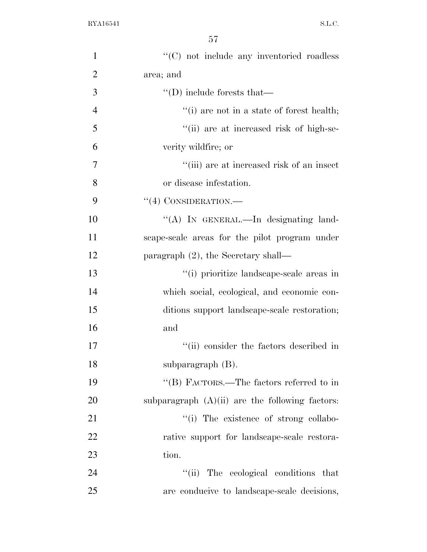| $\mathbf{1}$   | "(C) not include any inventoried roadless         |
|----------------|---------------------------------------------------|
| $\overline{2}$ | area; and                                         |
| 3              | $\lq\lq$ (D) include forests that                 |
| $\overline{4}$ | $"$ (i) are not in a state of forest health;      |
| 5              | "(ii) are at increased risk of high-se-           |
| 6              | verity wildfire; or                               |
| 7              | "(iii) are at increased risk of an insect         |
| 8              | or disease infestation.                           |
| 9              | $``(4)$ CONSIDERATION.—                           |
| 10             | "(A) IN GENERAL.—In designating land-             |
| 11             | scape-scale areas for the pilot program under     |
| 12             | paragraph $(2)$ , the Secretary shall—            |
| 13             | "(i) prioritize landscape-scale areas in          |
| 14             | which social, ecological, and economic con-       |
| 15             | ditions support landscape-scale restoration;      |
| 16             | and                                               |
| 17             | "(ii) consider the factors described in           |
| 18             | subparagraph $(B)$ .                              |
| 19             | "(B) FACTORS.—The factors referred to in          |
| 20             | subparagraph $(A)(ii)$ are the following factors: |
| 21             | "(i) The existence of strong collabo-             |
| 22             | rative support for landscape-scale restora-       |
| 23             | tion.                                             |
| 24             | "(ii) The ecological conditions that              |
| 25             | are conducive to landscape-scale decisions,       |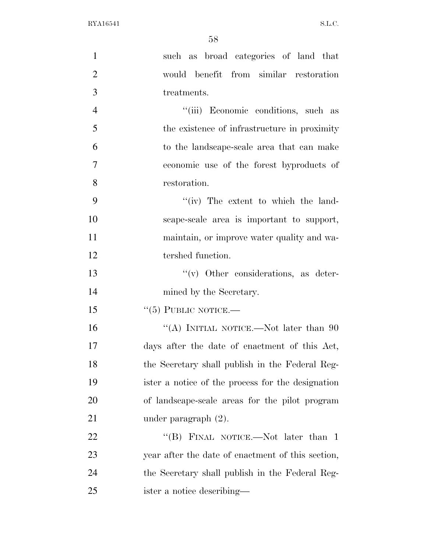| $\mathbf{1}$   | such as broad categories of land that             |
|----------------|---------------------------------------------------|
| $\overline{2}$ | would benefit from similar restoration            |
| 3              | treatments.                                       |
| $\overline{4}$ | "(iii) Economic conditions, such as               |
| 5              | the existence of infrastructure in proximity      |
| 6              | to the landscape-scale area that can make         |
| $\overline{7}$ | economic use of the forest byproducts of          |
| 8              | restoration.                                      |
| 9              | $``(iv)$ The extent to which the land-            |
| 10             | scape-scale area is important to support,         |
| 11             | maintain, or improve water quality and wa-        |
| 12             | tershed function.                                 |
| 13             | $``(v)$ Other considerations, as deter-           |
| 14             | mined by the Secretary.                           |
| 15             | $``(5)$ PUBLIC NOTICE.—                           |
| 16             | "(A) INITIAL NOTICE.—Not later than $90$          |
| 17             | days after the date of enactment of this Act,     |
| 18             | the Secretary shall publish in the Federal Reg-   |
| 19             | ister a notice of the process for the designation |
| <b>20</b>      | of landscape-scale areas for the pilot program    |
| 21             | under paragraph $(2)$ .                           |
| <u>22</u>      | "(B) FINAL NOTICE.—Not later than 1               |
| 23             | year after the date of enactment of this section, |
| 24             | the Secretary shall publish in the Federal Reg-   |
| 25             | ister a notice describing—                        |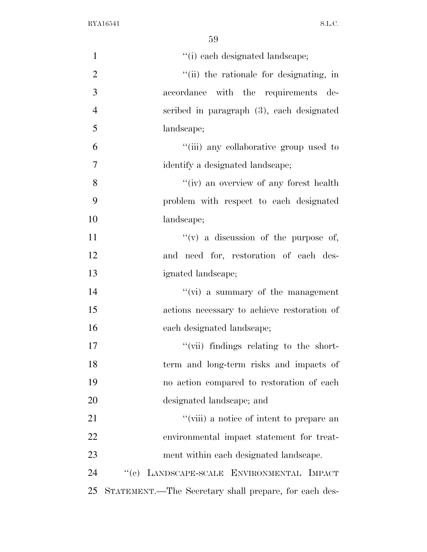| $\mathbf{1}$   | "(i) each designated landscape;                       |
|----------------|-------------------------------------------------------|
| $\mathfrak{2}$ | "(ii) the rationale for designating, in               |
| 3              | accordance with the requirements de-                  |
| $\overline{4}$ | scribed in paragraph (3), each designated             |
| 5              | landscape;                                            |
| 6              | "(iii) any collaborative group used to                |
| $\overline{7}$ | identify a designated landscape;                      |
| 8              | "(iv) an overview of any forest health                |
| 9              | problem with respect to each designated               |
| 10             | landscape;                                            |
| 11             | "(v) a discussion of the purpose of,                  |
| 12             | and need for, restoration of each des-                |
| 13             | ignated landscape;                                    |
| 14             | $\lq\lq$ (vi) a summary of the management             |
| 15             | actions necessary to achieve restoration of           |
| 16             | each designated landscape;                            |
| 17             | "(vii) findings relating to the short-                |
| 18             | term and long-term risks and impacts of               |
| 19             | no action compared to restoration of each             |
| 20             | designated landscape; and                             |
| 21             | "(viii) a notice of intent to prepare an              |
| 22             | environmental impact statement for treat-             |
| 23             | ment within each designated landscape.                |
| 24             | "(c) LANDSCAPE-SCALE ENVIRONMENTAL IMPACT             |
| 25             | STATEMENT.—The Secretary shall prepare, for each des- |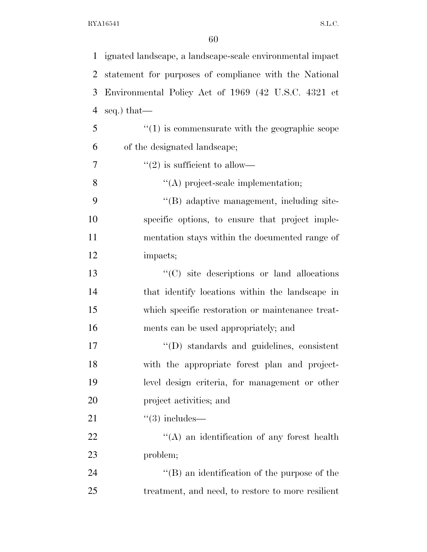| $\mathbf 1$    | ignated landscape, a landscape-scale environmental impact      |
|----------------|----------------------------------------------------------------|
| $\overline{2}$ | statement for purposes of compliance with the National         |
| 3              | Environmental Policy Act of 1969 (42 U.S.C. 4321 et            |
| $\overline{4}$ | seq.) that—                                                    |
| 5              | $\cdot\cdot\cdot(1)$ is commensurate with the geographic scope |
| 6              | of the designated landscape;                                   |
| $\overline{7}$ | $\cdot\cdot(2)$ is sufficient to allow—                        |
| 8              | "(A) project-scale implementation;                             |
| 9              | "(B) adaptive management, including site-                      |
| 10             | specific options, to ensure that project imple-                |
| 11             | mentation stays within the documented range of                 |
| 12             | impacts;                                                       |
| 13             | "(C) site descriptions or land allocations                     |
| 14             | that identify locations within the landscape in                |
| 15             | which specific restoration or maintenance treat-               |
| 16             | ments can be used appropriately; and                           |
| 17             | $\lq\lq$ ) standards and guidelines, consistent                |
| 18             | with the appropriate forest plan and project-                  |
| 19             | level design criteria, for management or other                 |
| 20             | project activities; and                                        |
| 21             | $\degree$ (3) includes—                                        |
| 22             | $\lq\lq$ and identification of any forest health               |
| 23             | problem;                                                       |
| 24             | $\lq\lq$ (B) an identification of the purpose of the           |
| 25             | treatment, and need, to restore to more resilient              |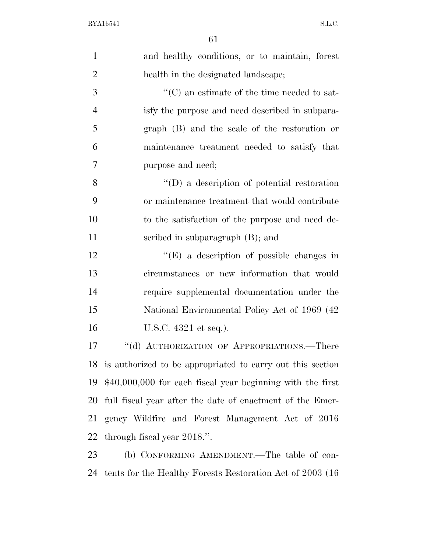| $\mathbf{1}$   | and healthy conditions, or to maintain, forest                |
|----------------|---------------------------------------------------------------|
| $\overline{2}$ | health in the designated landscape;                           |
| 3              | $\cdot\cdot$ (C) an estimate of the time needed to sat-       |
| $\overline{4}$ | isfy the purpose and need described in subpara-               |
| 5              | graph (B) and the scale of the restoration or                 |
| 6              | maintenance treatment needed to satisfy that                  |
| 7              | purpose and need;                                             |
| 8              | $\lq\lq$ a description of potential restoration               |
| 9              | or maintenance treatment that would contribute                |
| 10             | to the satisfaction of the purpose and need de-               |
| 11             | scribed in subparagraph (B); and                              |
| 12             | " $(E)$ a description of possible changes in                  |
| 13             | circumstances or new information that would                   |
| 14             | require supplemental documentation under the                  |
| 15             | National Environmental Policy Act of 1969 (42                 |
| 16             | U.S.C. 4321 et seq.).                                         |
| 17             | "(d) AUTHORIZATION OF APPROPRIATIONS.—There                   |
|                | 18 is authorized to be appropriated to carry out this section |
| 19             | $$40,000,000$ for each fiscal year beginning with the first   |
| 20             | full fiscal year after the date of enactment of the Emer-     |
| 21             | gency Wildfire and Forest Management Act of 2016              |
| 22             | through fiscal year 2018.".                                   |
| 23             | (b) CONFORMING AMENDMENT.—The table of con-                   |
| 24             | tents for the Healthy Forests Restoration Act of 2003 (16)    |